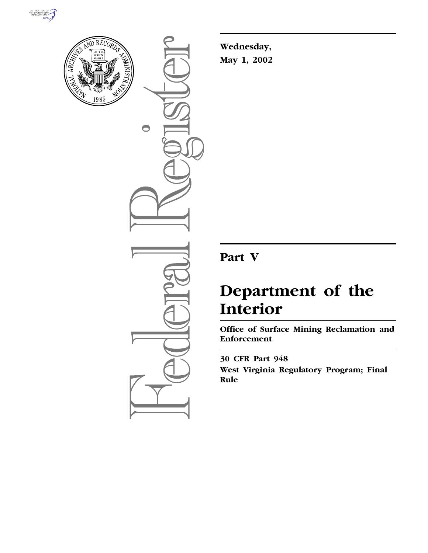



 $\bigcirc$ 

**Wednesday, May 1, 2002**

# **Part V**

# **Department of the Interior**

**Office of Surface Mining Reclamation and Enforcement**

**30 CFR Part 948 West Virginia Regulatory Program; Final Rule**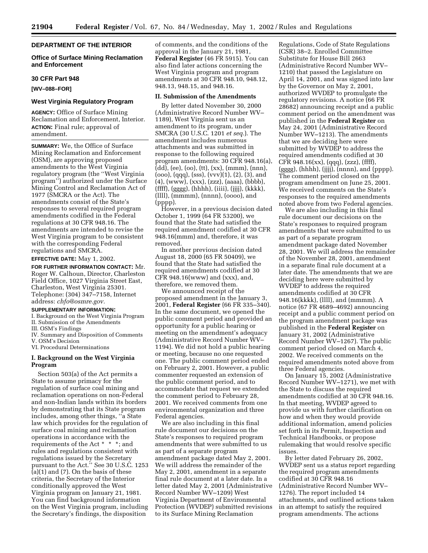# **DEPARTMENT OF THE INTERIOR**

**Office of Surface Mining Reclamation and Enforcement**

#### **30 CFR Part 948**

**[WV–088–FOR]**

# **West Virginia Regulatory Program**

**AGENCY:** Office of Surface Mining Reclamation and Enforcement, Interior. **ACTION:** Final rule; approval of amendment.

**SUMMARY:** We, the Office of Surface Mining Reclamation and Enforcement (OSM), are approving proposed amendments to the West Virginia regulatory program (the ''West Virginia program'') authorized under the Surface Mining Control and Reclamation Act of 1977 (SMCRA or the Act). The amendments consist of the State's responses to several required program amendments codified in the Federal regulations at 30 CFR 948.16. The amendments are intended to revise the West Virginia program to be consistent with the corresponding Federal regulations and SMCRA.

**EFFECTIVE DATE:** May 1, 2002.

**FOR FURTHER INFORMATION CONTACT:** Mr. Roger W. Calhoun, Director, Charleston Field Office, 1027 Virginia Street East, Charleston, West Virginia 25301. Telephone: (304) 347–7158, Internet address: *chfo@osmre.gov.*

# **SUPPLEMENTARY INFORMATION:**

I. Background on the West Virginia Program II. Submission of the Amendments

III. OSM's Findings

IV. Summary and Disposition of Comments V. OSM's Decision

VI. Procedural Determinations

# **I. Background on the West Virginia Program**

Section 503(a) of the Act permits a State to assume primacy for the regulation of surface coal mining and reclamation operations on non-Federal and non-Indian lands within its borders by demonstrating that its State program includes, among other things, ''a State law which provides for the regulation of surface coal mining and reclamation operations in accordance with the requirements of the Act \* \* \*; and rules and regulations consistent with regulations issued by the Secretary pursuant to the Act.'' See 30 U.S.C. 1253  $(a)(1)$  and  $(7)$ . On the basis of these criteria, the Secretary of the Interior conditionally approved the West Virginia program on January 21, 1981. You can find background information on the West Virginia program, including the Secretary's findings, the disposition

of comments, and the conditions of the approval in the January 21, 1981, **Federal Register** (46 FR 5915). You can also find later actions concerning the West Virginia program and program amendments at 30 CFR 948.10, 948.12, 948.13, 948.15, and 948.16.

# **II. Submission of the Amendments**

By letter dated November 30, 2000 (Administrative Record Number WV– 1189), West Virginia sent us an amendment to its program, under SMCRA (30 U.S.C. 1201 *et seq.*). The amendment includes numerous attachments and was submitted in response to the following required program amendments: 30 CFR 948.16(a),  $\bar{d}$ dd $\bar{d}$ , (ee), (oo), (tt), (xx), (mmm), (nnn),  $(000)$ ,  $(qqq)$ ,  $(sss)$ ,  $(vvv)(1)$ ,  $(2)$ ,  $(3)$ , and (4), (www), (xxx), (zzz), (aaaa), (bbbb), (ffff), (gggg), (hhhh), (iiii), (jjjj), (kkkk), (llll), (mmmm), (nnnn), (oooo), and (pppp).

However, in a previous decision dated October 1, 1999 (64 FR 53200), we found that the State had satisfied the required amendment codified at 30 CFR 948.16(mmm) and, therefore, it was removed.

In another previous decision dated August 18, 2000 (65 FR 50409), we found that the State had satisfied the required amendments codified at 30 CFR 948.16(www) and (xxx), and, therefore, we removed them.

We announced receipt of the proposed amendment in the January 3, 2001, **Federal Register** (66 FR 335–340). In the same document, we opened the public comment period and provided an opportunity for a public hearing or meeting on the amendment's adequacy (Administrative Record Number WV– 1194). We did not hold a public hearing or meeting, because no one requested one. The public comment period ended on February 2, 2001. However, a public commenter requested an extension of the public comment period, and to accommodate that request we extended the comment period to February 28, 2001. We received comments from one environmental organization and three Federal agencies.

We are also including in this final rule document our decisions on the State's responses to required program amendments that were submitted to us as part of a separate program amendment package dated May 2, 2001. We will address the remainder of the May 2, 2001, amendment in a separate final rule document at a later date. In a letter dated May 2, 2001 (Administrative Record Number WV–1209) West Virginia Department of Environmental Protection (WVDEP) submitted revisions to its Surface Mining Reclamation

Regulations, Code of State Regulations (CSR) 38–2. Enrolled Committee Substitute for House Bill 2663 (Administrative Record Number WV– 1210) that passed the Legislature on April 14, 2001, and was signed into law by the Governor on May 2, 2001, authorized WVDEP to promulgate the regulatory revisions. A notice (66 FR 28682) announcing receipt and a public comment period on the amendment was published in the **Federal Register** on May 24, 2001 (Administrative Record Number WV–1213). The amendments that we are deciding here were submitted by WVDEP to address the required amendments codified at 30 CFR 948.16(xx), (qqq), (zzz), (ffff), (gggg), (hhhh), (jjjj), (nnnn), and (pppp). The comment period closed on the program amendment on June 25, 2001. We received comments on the State's responses to the required amendments noted above from two Federal agencies.

We are also including in this final rule document our decisions on the State's responses to required program amendments that were submitted to us as part of a separate program amendment package dated November 28, 2001. We will address the remainder of the November 28, 2001, amendment in a separate final rule document at a later date. The amendments that we are deciding here were submitted by WVDEP to address the required amendments codified at 30 CFR 948.16(kkkk), (llll), and (mmmm). A notice (67 FR 4689–4692) announcing receipt and a public comment period on the program amendment package was published in the **Federal Register** on January 31, 2002 (Administrative Record Number WV–1267). The public comment period closed on March 4, 2002. We received comments on the required amendments noted above from three Federal agencies.

On January 15, 2002 (Administrative Record Number WV–1271), we met with the State to discuss the required amendments codified at 30 CFR 948.16. In that meeting, WVDEP agreed to provide us with further clarification on how and when they would provide additional information, amend policies set forth in its Permit, Inspection and Technical Handbooks, or propose rulemaking that would resolve specific issues.

By letter dated February 26, 2002, WVDEP sent us a status report regarding the required program amendments codified at 30 CFR 948.16 (Administrative Record Number WV– 1276). The report included 14 attachments, and outlined actions taken in an attempt to satisfy the required program amendments. The actions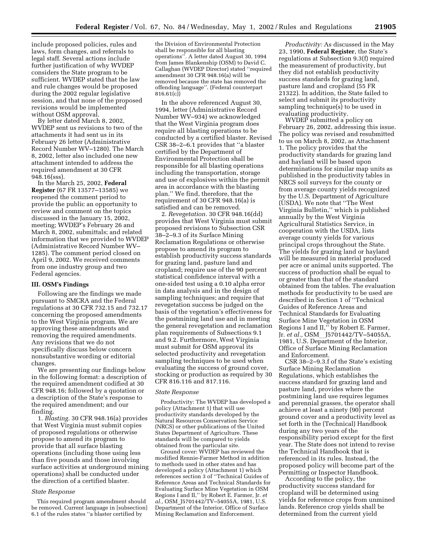include proposed policies, rules and laws, form changes, and referrals to legal staff. Several actions include further justification of why WVDEP considers the State program to be sufficient. WVDEP stated that the law and rule changes would be proposed during the 2002 regular legislative session, and that none of the proposed revisions would be implemented without OSM approval.

By letter dated March 8, 2002, WVDEP sent us revisions to two of the attachments it had sent us in its February 26 letter (Administrative Record Number WV–1280). The March 8, 2002, letter also included one new attachment intended to address the required amendment at 30 CFR 948.16(sss).

In the March 25, 2002, **Federal Register** (67 FR 13577–13585) we reopened the comment period to provide the public an opportunity to review and comment on the topics discussed in the January 15, 2002, meeting; WVDEP's February 26 and March 8, 2002, submittals; and related information that we provided to WVDEP (Administrative Record Number WV– 1285). The comment period closed on April 9, 2002. We received comments from one industry group and two Federal agencies.

#### **III. OSM's Findings**

Following are the findings we made pursuant to SMCRA and the Federal regulations at 30 CFR 732.15 and 732.17 concerning the proposed amendments to the West Virginia program. We are approving these amendments and removing the required amendments. Any revisions that we do not specifically discuss below concern nonsubstantive wording or editorial changes.

We are presenting our findings below in the following format: a description of the required amendment codified at 30 CFR 948.16; followed by a quotation or a description of the State's response to the required amendment; and our finding.

1. *Blasting.* 30 CFR 948.16(a) provides that West Virginia must submit copies of proposed regulations or otherwise propose to amend its program to provide that all surface blasting operations (including those using less than five pounds and those involving surface activities at underground mining operations) shall be conducted under the direction of a certified blaster.

#### *State Response*

This required program amendment should be removed. Current language in [subsection] 6.1 of the rules states ''a blaster certified by

the Division of Environmental Protection shall be responsible for all blasting operations''. A letter dated August 30, 1994 from James Blankenship (OSM) to David C. Callaghan (WVDEP Director) stated ''required amendment 30 CFR 948.16(a) will be removed because the state has removed the offending language''. (Federal counterpart 816.61(c))

In the above referenced August 30, 1994, letter (Administrative Record Number WV–934) we acknowledged that the West Virginia program does require all blasting operations to be conducted by a certified blaster. Revised CSR 38–2–6.1 provides that ''a blaster certified by the Department of Environmental Protection shall be responsible for all blasting operations including the transportation, storage and use of explosives within the permit area in accordance with the blasting plan.'' We find, therefore, that the requirement of 30 CFR 948.16(a) is satisfied and can be removed.

2. *Revegetation.* 30 CFR 948.16(dd) provides that West Virginia must submit proposed revisions to Subsection CSR 38–2–9.3 of its Surface Mining Reclamation Regulations or otherwise propose to amend its program to establish productivity success standards for grazing land, pasture land and cropland; require use of the 90 percent statistical confidence interval with a one-sided test using a 0.10 alpha error in data analysis and in the design of sampling techniques; and require that revegetation success be judged on the basis of the vegetation's effectiveness for the postmining land use and in meeting the general revegetation and reclamation plan requirements of Subsections 9.1 and 9.2. Furthermore, West Virginia must submit for OSM approval its selected productivity and revegetation sampling techniques to be used when evaluating the success of ground cover, stocking or production as required by 30 CFR 816.116 and 817.116.

#### *State Response*

Productivity: The WVDEP has developed a policy (Attachment 1) that will use productivity standards developed by the Natural Resources Conservation Service (NRCS) or other publications of the United States Department of Agriculture. These standards will be compared to yields obtained from the particular site.

Ground cover: WVDEP has reviewed the modified Rennie-Farmer Method in addition to methods used in other states and has developed a policy (Attachment 1) which references section 3 of ''Technical Guides of Reference Areas and Technical Standards for Evaluating Surface Mine Vegetation in OSM Regions I and II,'' by Robert E. Farmer, Jr. *et al.,* OSM\_J5701442/TV–54055A, 1981, U.S. Department of the Interior, Office of Surface Mining Reclamation and Enforcement.

*Productivity:* As discussed in the May 23, 1990, **Federal Register**, the State's regulations at Subsection 9.3(f) required the measurement of productivity, but they did not establish productivity success standards for grazing land, pasture land and cropland (55 FR 21322). In addition, the State failed to select and submit its productivity sampling technique(s) to be used in evaluating productivity.

WVDEP submitted a policy on February 26, 2002, addressing this issue. The policy was revised and resubmitted to us on March 8, 2002, as Attachment 1. The policy provides that the productivity standards for grazing land and hayland will be based upon determinations for similar map units as published in the productivity tables in NRCS soil surveys for the county or from average county yields recognized by the U.S. Department of Agriculture (USDA). We note that ''The West Virginia Bulletin,'' which is published annually by the West Virginia Agricultural Statistics Service, in cooperation with the USDA, lists average county yields for various principal crops throughout the State. The yields for grazing land or hayland will be measured in material produced per acre or animal units supported. The success of production shall be equal to or greater than that of the standard obtained from the tables. The evaluation methods for productivity to be used are described in Section 1 of ''Technical Guides of Reference Areas and Technical Standards for Evaluating Surface Mine Vegetation in OSM Regions I and II,'' by Robert E. Farmer, Jr. *et al.*, OSM J5701442/TV-54055A, 1981, U.S. Department of the Interior, Office of Surface Mining Reclamation and Enforcement.

CSR 38–2–9.3.f of the State's existing Surface Mining Reclamation Regulations, which establishes the success standard for grazing land and pasture land, provides where the postmining land use requires legumes and perennial grasses, the operator shall achieve at least a ninety (90) percent ground cover and a productivity level as set forth in the (Technical) Handbook during any two years of the responsibility period except for the first year. The State does not intend to revise the Technical Handbook that is referenced in its rules. Instead, the proposed policy will become part of the Permitting or Inspector Handbook.

According to the policy, the productivity success standard for cropland will be determined using yields for reference crops from unmined lands. Reference crop yields shall be determined from the current yield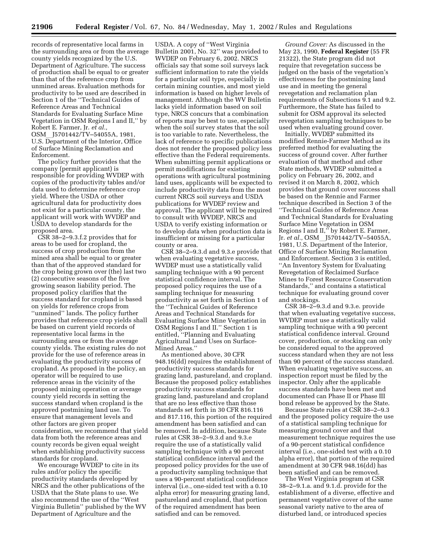records of representative local farms in the surrounding area or from the average county yields recognized by the U.S. Department of Agriculture. The success of production shall be equal to or greater than that of the reference crop from unmined areas. Evaluation methods for productivity to be used are described in Section 1 of the ''Technical Guides of Reference Areas and Technical Standards for Evaluating Surface Mine Vegetation in OSM Regions I and II,'' by Robert E. Farmer, Jr. *et al.,* OSM J5701442/TV-54055A, 1981, U.S. Department of the Interior, Office of Surface Mining Reclamation and Enforcement.

The policy further provides that the company (permit applicant) is responsible for providing WVDEP with copies of the productivity tables and/or data used to determine reference crop yield. Where the USDA or other agricultural data for productivity does not exist for a particular county, the applicant will work with WVDEP and USDA to develop standards for the proposed area.

CSR 38–2–9.3.f.2 provides that for areas to be used for cropland, the success of crop production from the mined area shall be equal to or greater than that of the approved standard for the crop being grown over (the) last two (2) consecutive seasons of the five growing season liability period. The proposed policy clarifies that the success standard for cropland is based on yields for reference crops from ''unmined'' lands. The policy further provides that reference crop yields shall be based on current yield records of representative local farms in the surrounding area or from the average county yields. The existing rules do not provide for the use of reference areas in evaluating the productivity success of cropland. As proposed in the policy, an operator will be required to use reference areas in the vicinity of the proposed mining operation or average county yield records in setting the success standard when cropland is the approved postmining land use. To ensure that management levels and other factors are given proper consideration, we recommend that yield data from both the reference areas and county records be given equal weight when establishing productivity success standards for cropland.

We encourage WVDEP to cite in its rules and/or policy the specific productivity standards developed by NRCS and the other publications of the USDA that the State plans to use. We also recommend the use of the ''West Virginia Bulletin'' published by the WV Department of Agriculture and the

USDA. A copy of ''West Virginia Bulletin 2001, No. 32'' was provided to WVDEP on February 6, 2002. NRCS officials say that some soil surveys lack sufficient information to rate the yields for a particular soil type, especially in certain mining counties, and most yield information is based on higher levels of management. Although the WV Bulletin lacks yield information based on soil type, NRCS concurs that a combination of reports may be best to use, especially when the soil survey states that the soil is too variable to rate. Nevertheless, the lack of reference to specific publications does not render the proposed policy less effective than the Federal requirements. When submitting permit applications or permit modifications for existing operations with agricultural postmining land uses, applicants will be expected to include productivity data from the most current NRCS soil surveys and USDA publications for WVDEP review and approval. The applicant will be required to consult with WVDEP, NRCS and USDA to verify existing information or to develop data when production data is insufficient or missing for a particular county or area.

CSR 38–2–9.3.d and 9.3.e provide that when evaluating vegetative success, WVDEP must use a statistically valid sampling technique with a 90 percent statistical confidence interval. The proposed policy requires the use of a sampling technique for measuring productivity as set forth in Section 1 of the ''Technical Guides of Reference Areas and Technical Standards for Evaluating Surface Mine Vegetation in OSM Regions I and II.'' Section 1 is entitled, ''Planning and Evaluating Agricultural Land Uses on Surface-Mined Areas.''

As mentioned above, 30 CFR 948.16(dd) requires the establishment of productivity success standards for grazing land, pastureland, and cropland. Because the proposed policy establishes productivity success standards for grazing land, pastureland and cropland that are no less effective than those standards set forth in 30 CFR 816.116 and 817.116, this portion of the required amendment has been satisfied and can be removed. In addition, because State rules at CSR 38–2–9.3.d and 9.3.e require the use of a statistically valid sampling technique with a 90 percent statistical confidence interval and the proposed policy provides for the use of a productivity sampling technique that uses a 90-percent statistical confidence interval (i.e., one-sided test with a 0.10 alpha error) for measuring grazing land, pastureland and cropland, that portion of the required amendment has been satisfied and can be removed.

*Ground Cover:* As discussed in the May 23, 1990, **Federal Register** (55 FR 21322), the State program did not require that revegetation success be judged on the basis of the vegetation's effectiveness for the postmining land use and in meeting the general revegetation and reclamation plan requirements of Subsections 9.1 and 9.2. Furthermore, the State has failed to submit for OSM approval its selected revegetation sampling techniques to be used when evaluating ground cover.

Initially, WVDEP submitted its modified Rennie-Farmer Method as its preferred method for evaluating the success of ground cover. After further evaluation of that method and other State methods, WVDEP submitted a policy on February 26, 2002, and revised it on March 8, 2002, which provides that ground cover success shall be based on the Rennie and Farmer technique described in Section 3 of the ''Technical Guides of Reference Areas and Technical Standards for Evaluating Surface Mine Vegetation in OSM Regions I and II,'' by Robert E. Farmer, Jr. *et al.*, OSM J5701442/TV-54055A, 1981, U.S. Department of the Interior, Office of Surface Mining Reclamation and Enforcement. Section 3 is entitled, ''An Inventory System for Evaluating Revegetation of Reclaimed Surface Mines to Forest Resource Conservation Standards,'' and contains a statistical technique for evaluating ground cover and stockings.

CSR 38–2–9.3.d and 9.3.e. provide that when evaluating vegetative success, WVDEP must use a statistically valid sampling technique with a 90 percent statistical confidence interval. Ground cover, production, or stocking can only be considered equal to the approved success standard when they are not less than 90 percent of the success standard. When evaluating vegetative success, an inspection report must be filed by the inspector. Only after the applicable success standards have been met and documented can Phase II or Phase III bond release be approved by the State.

Because State rules at CSR 38–2–9.3 and the proposed policy require the use of a statistical sampling technique for measuring ground cover and that measurement technique requires the use of a 90-percent statistical confidence interval (i.e., one-sided test with a 0.10 alpha error), that portion of the required amendment at 30 CFR 948.16(dd) has been satisfied and can be removed.

The West Virginia program at CSR 38–2–9.1.a. and 9.1.d. provide for the establishment of a diverse, effective and permanent vegetative cover of the same seasonal variety native to the area of disturbed land, or introduced species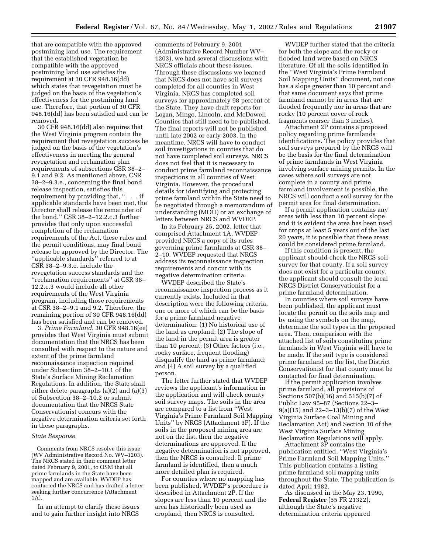that are compatible with the approved postmining land use. The requirement that the established vegetation be compatible with the approved postmining land use satisfies the requirement at 30 CFR 948.16(dd) which states that revegetation must be judged on the basis of the vegetation's effectiveness for the postmining land use. Therefore, that portion of 30 CFR 948.16(dd) has been satisfied and can be removed.

30 CFR 948.16(dd) also requires that the West Virginia program contain the requirement that revegetation success be judged on the basis of the vegetation's effectiveness in meeting the general revegetation and reclamation plan requirements of subsections CSR 38–2– 9.1 and 9.2. As mentioned above, CSR 38–2–9.3.e., concerning the final bond release inspection, satisfies this requirement by providing that, ''. . . if applicable standards have been met, the Director shall release the remainder of the bond.'' CSR 38–2–12.2.c.3 further provides that only upon successful completion of the reclamation requirements of the Act, these rules and the permit conditions, may final bond release be approved by the Director. The ''applicable standards'' referred to at CSR 38–2–9.3.e. include the revegetation success standards and the ''reclamation requirements'' at CSR 38– 12.2.c.3 would include all other requirements of the West Virginia program, including those requirements at CSR 38–2–9.1 and 9.2. Therefore, the remaining portion of 30 CFR 948.16(dd) has been satisfied and can be removed.

3. *Prime Farmland.* 30 CFR 948.16(ee) provides that West Virginia must submit documentation that the NRCS has been consulted with respect to the nature and extent of the prime farmland reconnaissance inspection required under Subsection 38–2–10.1 of the State's Surface Mining Reclamation Regulations. In addition, the State shall either delete paragraphs (a)(2) and (a)(3) of Subsection 38–2–10.2 or submit documentation that the NRCS State Conservationist concurs with the negative determination criteria set forth in these paragraphs.

# *State Response*

Comments from NRCS resolve this issue (WV Administrative Record No. WV–1203). The NRCS stated in their comment letter dated February 9, 2001, to OSM that all prime farmlands in the State have been mapped and are available. WVDEP has contacted the NRCS and has drafted a letter seeking further concurrence (Attachment 1A).

In an attempt to clarify these issues and to gain further insight into NRCS

comments of February 9, 2001 (Administrative Record Number WV– 1203), we had several discussions with NRCS officials about these issues. Through these discussions we learned that NRCS does not have soil surveys completed for all counties in West Virginia. NRCS has completed soil surveys for approximately 98 percent of the State. They have draft reports for Logan, Mingo, Lincoln, and McDowell Counties that still need to be published. The final reports will not be published until late 2002 or early 2003. In the meantime, NRCS will have to conduct soil investigations in counties that do not have completed soil surveys. NRCS does not feel that it is necessary to conduct prime farmland reconnaissance inspections in all counties of West Virginia. However, the procedural details for identifying and protecting prime farmland within the State need to be negotiated through a memorandum of understanding (MOU) or an exchange of letters between NRCS and WVDEP.

In its February 25, 2002, letter that comprised Attachment 1A, WVDEP provided NRCS a copy of its rules governing prime farmlands at CSR 38– 2–10. WVDEP requested that NRCS address its reconnaissance inspection requirements and concur with its negative determination criteria.

WVDEP described the State's reconnaissance inspection process as it currently exists. Included in that description were the following criteria, one or more of which can be the basis for a prime farmland negative determination: (1) No historical use of the land as cropland; (2) The slope of the land in the permit area is greater than 10 percent; (3) Other factors (i.e., rocky surface, frequent flooding) disqualify the land as prime farmland; and (4) A soil survey by a qualified person.

The letter further stated that WVDEP reviews the applicant's information in the application and will check county soil survey maps. The soils in the area are compared to a list from ''West Virginia's Prime Farmland Soil Mapping Units'' by NRCS (Attachment 3P). If the soils in the proposed mining area are not on the list, then the negative determinations are approved. If the negative determination is not approved, then the NRCS is consulted. If prime farmland is identified, then a much more detailed plan is required.

For counties where no mapping has been published, WVDEP's procedure is described in Attachment 2P. If the slopes are less than 10 percent and the area has historically been used as cropland, then NRCS is consulted.

WVDEP further stated that the criteria for both the slope and the rocky or flooded land were based on NRCS literature. Of all the soils identified in the ''West Virginia's Prime Farmland Soil Mapping Units'' document, not one has a slope greater than 10 percent and that same document says that prime farmland cannot be in areas that are flooded frequently nor in areas that are rocky (10 percent cover of rock fragments coarser than 3 inches).

Attachment 2P contains a proposed policy regarding prime farmlands identifications. The policy provides that soil surveys prepared by the NRCS will be the basis for the final determination of prime farmlands in West Virginia involving surface mining permits. In the cases where soil surveys are not complete in a county and prime farmland involvement is possible, the NRCS will conduct a soil survey for the permit area for final determination.

If a permit application contains any areas with less than 10 percent slope and it is evident the area has been used for crops at least 5 years out of the last 20 years, it is possible that these areas could be considered prime farmland.

If this condition is present, the applicant should check the NRCS soil survey for that county. If a soil survey does not exist for a particular county, the applicant should consult the local NRCS District Conservationist for a prime farmland determination.

In counties where soil surveys have been published, the applicant must locate the permit on the soils map and by using the symbols on the map, determine the soil types in the proposed area. Then, comparison with the attached list of soils constituting prime farmlands in West Virginia will have to be made. If the soil type is considered prime farmland on the list, the District Conservationist for that county must be contacted for final determination.

If the permit application involves prime farmland, all provisions of Sections 507(b)(16) and 515(b)(7) of Public Law 95–87 (Sections 22–3– 9(a)(15) and 22–3–13(b)(7) of the West Virginia Surface Coal Mining and Reclamation Act) and Section 10 of the West Virginia Surface Mining Reclamation Regulations will apply.

Attachment 3P contains the publication entitled, ''West Virginia's Prime Farmland Soil Mapping Units.'' This publication contains a listing prime farmland soil mapping units throughout the State. The publication is dated April 1982.

As discussed in the May 23, 1990, **Federal Register** (55 FR 21322), although the State's negative determination criteria appeared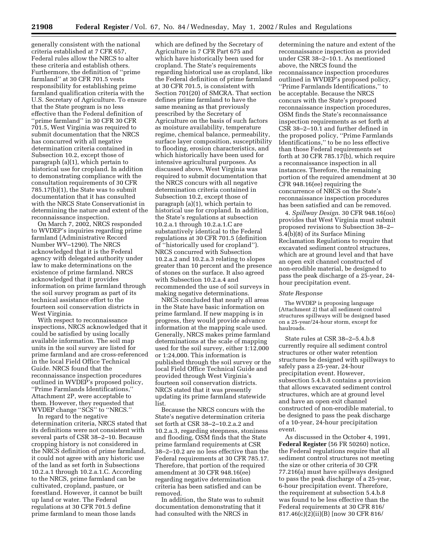generally consistent with the national criteria established at 7 CFR 657, Federal rules allow the NRCS to alter these criteria and establish others. Furthermore, the definition of ''prime farmland'' at 30 CFR 701.5 vests responsibility for establishing prime farmland qualification criteria with the U.S. Secretary of Agriculture. To ensure that the State program is no less effective than the Federal definition of ''prime farmland'' in 30 CFR 30 CFR 701.5, West Virginia was required to submit documentation that the NRCS has concurred with all negative determination criteria contained in Subsection 10.2, except those of paragraph (a)(1), which pertain to historical use for cropland. In addition to demonstrating compliance with the consultation requirements of 30 CFR 785.17(b)(1), the State was to submit documentation that it has consulted with the NRCS State Conservationist in determining the nature and extent of the reconnaissance inspection.

On March 7, 2002, NRCS responded to WVDEP's inquiries regarding prime farmland (Administrative Record Number WV–1290). The NRCS acknowledged that it is the Federal agency with delegated authority under law to make determinations on the existence of prime farmland. NRCS acknowledged that it provides information on prime farmland through the soil survey program as part of its technical assistance effort to the fourteen soil conservation districts in West Virginia.

With respect to reconnaissance inspections, NRCS acknowledged that it could be satisfied by using locally available information. The soil map units in the soil survey are listed for prime farmland and are cross-referenced in the local Field Office Technical Guide. NRCS found that the reconnaissance inspection procedures outlined in WVDEP's proposed policy, ''Prime Farmlands Identifications,'' Attachment 2P, were acceptable to them. However, they requested that WVDEP change ''SCS'' to ''NRCS.''

In regard to the negative determination criteria, NRCS stated that its definitions were not consistent with several parts of CSR 38–2–10. Because cropping history is not considered in the NRCS definition of prime farmland, it could not agree with any historic use of the land as set forth in Subsections 10.2.a.1 through 10.2.a.1.C. According to the NRCS, prime farmland can be cultivated, cropland, pasture, or forestland. However, it cannot be built up land or water. The Federal regulations at 30 CFR 701.5 define prime farmland to mean those lands

which are defined by the Secretary of Agriculture in 7 CFR Part 675 and which have historically been used for cropland. The State's requirements regarding historical use as cropland, like the Federal definition of prime farmland at 30 CFR 701.5, is consistent with Section 701(20) of SMCRA. That section defines prime farmland to have the same meaning as that previously prescribed by the Secretary of Agriculture on the basis of such factors as moisture availability, temperature regime, chemical balance, permeability, surface layer composition, susceptibility to flooding, erosion characteristics, and which historically have been used for intensive agricultural purposes. As discussed above, West Virginia was required to submit documentation that the NRCS concurs with all negative determination criteria contained in Subsection 10.2, except those of paragraph (a)(1), which pertain to historical use for cropland. In addition, the State's regulations at subsection 10.2.a.1 through 10.2.a.1.C are substantively identical to the Federal regulations at 30 CFR 701.5 (definition of ''historically used for cropland''). NRCS concurred with Subsection 10.2.a.2 and 10.2.a.3 relating to slopes greater than 10 percent and the presence of stones on the surface. It also agreed with Subsection 10.2.a.4 and recommended the use of soil surveys in making negative determinations.

NRCS concluded that nearly all areas in the State have basic information on prime farmland. If new mapping is in progress, they would provide advance information at the mapping scale used. Generally, NRCS makes prime farmland determinations at the scale of mapping used for the soil survey, either 1:12,000 or 1:24,000. This information is published through the soil survey or the local Field Office Technical Guide and provided through West Virginia's fourteen soil conservation districts. NRCS stated that it was presently updating its prime farmland statewide list.

Because the NRCS concurs with the State's negative determination criteria set forth at CSR 38–2–10.2.a.2 and 10.2.a.3, regarding steepness, stoniness and flooding, OSM finds that the State prime farmland requirements at CSR 38–2–10.2 are no less effective than the Federal requirements at 30 CFR 785.17. Therefore, that portion of the required amendment at 30 CFR 948.16(ee) regarding negative determination criteria has been satisfied and can be removed.

In addition, the State was to submit documentation demonstrating that it had consulted with the NRCS in

determining the nature and extent of the reconnaissance inspection as provided under CSR 38–2–10.1. As mentioned above, the NRCS found the reconnaissance inspection procedures outlined in WVDEP's proposed policy, ''Prime Farmlands Identifications,'' to be acceptable. Because the NRCS concurs with the State's proposed reconnaissance inspection procedures, OSM finds the State's reconnaissance inspection requirements as set forth at CSR 38–2–10.1 and further defined in the proposed policy, ''Prime Farmlands Identifications,'' to be no less effective than those Federal requirements set forth at 30 CFR 785.17(b), which require a reconnaissance inspection in all instances. Therefore, the remaining portion of the required amendment at 30 CFR 948.16(ee) requiring the concurrence of NRCS on the State's reconnaissance inspection procedures has been satisfied and can be removed.

4. *Spillway Design*. 30 CFR 948.16(oo) provides that West Virginia must submit proposed revisions to Subsection 38–2– 5.4(b)(8) of its Surface Mining Reclamation Regulations to require that excavated sediment control structures, which are at ground level and that have an open exit channel constructed of non-erodible material, be designed to pass the peak discharge of a 25-year, 24 hour precipitation event.

#### *State Response*

The WVDEP is proposing language (Attachment 2) that all sediment control structures spillways will be designed based on a 25-year/24-hour storm, except for haulroads.

State rules at CSR 38–2–5.4.b.8 currently require all sediment control structures or other water retention structures be designed with spillways to safely pass a 25-year, 24-hour precipitation event. However, subsection 5.4.b.8 contains a provision that allows excavated sediment control structures, which are at ground level and have an open exit channel constructed of non-erodible material, to be designed to pass the peak discharge of a 10-year, 24-hour precipitation event.

As discussed in the October 4, 1991, **Federal Register** (56 FR 50260) notice, the Federal regulations require that all sediment control structures not meeting the size or other criteria of 30 CFR 77.216(a) must have spillways designed to pass the peak discharge of a 25-year, 6-hour precipitation event. Therefore, the requirement at subsection 5.4.b.8 was found to be less effective than the Federal requirements at 30 CFR 816/ 817.46(c)(2)(ii)(B) [now 30 CFR 816/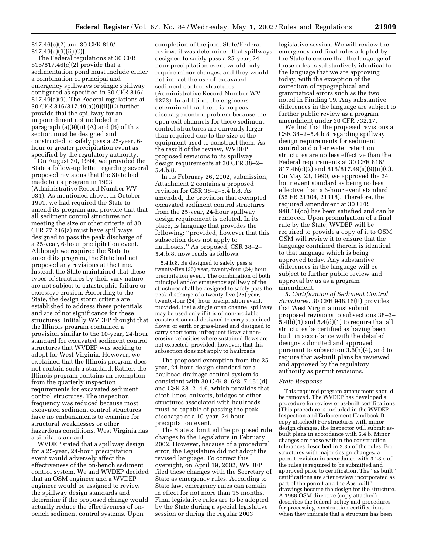817.46(c)(2) and 30 CFR 816/ 817.49(a)(9)(ii)(C)].

The Federal regulations at 30 CFR 816/817.46(c)(2) provide that a sedimentation pond must include either a combination of principal and emergency spillways or single spillway configured as specified in 30 CFR 816/ 817.49(a)(9). The Federal regulations at 30 CFR 816/817.49(a)(9)(ii)(C) further provide that the spillway for an impoundment not included in paragraph (a)(9)(ii) (A) and (B) of this section must be designed and constructed to safely pass a 25-year, 6 hour or greater precipitation event as specified by the regulatory authority.

On August 30, 1994, we provided the State a follow-up letter regarding several proposed revisions that the State had made to its program in 1993 (Administrative Record Number WV– 934). As mentioned above, in October 1991, we had required the State to amend its program and provide that that all sediment control structures not meeting the size or other criteria of 30 CFR 77.216(a) must have spillways designed to pass the peak discharge of a 25-year, 6-hour precipitation event. Although we required the State to amend its program, the State had not proposed any revisions at the time. Instead, the State maintained that these types of structures by their vary nature are not subject to catastrophic failure or excessive erosion. According to the State, the design storm criteria are established to address these potentials and are of not significance for these structures. Initially WVDEP thought that the Illinois program contained a provision similar to the 10-year, 24-hour standard for excavated sediment control structures that WVDEP was seeking to adopt for West Virginia. However, we explained that the Illinois program does not contain such a standard. Rather, the Illinois program contains an exemption from the quarterly inspection requirements for excavated sediment control structures. The inspection frequency was reduced because most excavated sediment control structures have no embankments to examine for structural weaknesses or other hazardous conditions. West Virginia has a similar standard.

WVDEP stated that a spillway design for a 25-year, 24-hour precipitation event would adversely affect the effectiveness of the on-bench sediment control system. We and WVDEP decided that an OSM engineer and a WVDEP engineer would be assigned to review the spillway design standards and determine if the proposed change would actually reduce the effectiveness of onbench sediment control systems. Upon

completion of the joint State/Federal review, it was determined that spillways designed to safely pass a 25-year, 24 hour precipitation event would only require minor changes, and they would not impact the use of excavated sediment control structures (Administrative Record Number WV– 1273). In addition, the engineers determined that there is no peak discharge control problem because the open exit channels for these sediment control structures are currently larger than required due to the size of the equipment used to construct them. As the result of the review, WVDEP proposed revisions to its spillway design requirements at 30 CFR 38–2– 5.4.b.8.

In its February 26, 2002, submission, Attachment 2 contains a proposed revision for CSR 38–2–5.4.b.8. As amended, the provision that exempted excavated sediment control structures from the 25-year, 24-hour spillway design requirement is deleted. In its place, is language that provides the following: ''provided, however that this subsection does not apply to haulroads.'' As proposed, CSR 38–2– 5.4.b.8. now reads as follows.

5.4.b.8. Be designed to safely pass a twenty-five (25) year, twenty-four (24) hour precipitation event. The combination of both principal and/or emergency spillway of the structures shall be designed to safely pass the peak discharge of a twenty-five (25) year, twenty-four (24) hour precipitation event, provided, that a single open channel spillway may be used only if it is of non-erodable construction and designed to carry sustained flows; or earth or grass-lined and designed to carry short term, infrequent flows at nonerosive velocities where sustained flows are not expected; provided, however, that this subsection does not apply to haulroads.

The proposed exemption from the 25 year, 24-hour design standard for a haulroad drainage control system is consistent with 30 CFR 816/817.151(d) and CSR 38–2–4.6, which provides that ditch lines, culverts, bridges or other structures associated with haulroads must be capable of passing the peak discharge of a 10-year, 24-hour precipitation event.

The State submitted the proposed rule changes to the Legislature in February 2002. However, because of a procedural error, the Legislature did not adopt the revised language. To correct this oversight, on April 19, 2002, WVDEP filed these changes with the Secretary of State as emergency rules. According to State law, emergency rules can remain in effect for not more than 15 months. Final legislative rules are to be adopted by the State during a special legislative session or during the regular 2003

legislative session. We will review the emergency and final rules adopted by the State to ensure that the language of those rules is substantively identical to the language that we are approving today, with the exception of the correction of typographical and grammatical errors such as the two noted in Finding 19. Any substantive differences in the language are subject to further public review as a program amendment under 30 CFR 732.17.

We find that the proposed revisions at CSR 38–2–5.4.b.8 regarding spillway design requirements for sediment control and other water retention structures are no less effective than the Federal requirements at 30 CFR 816/ 817.46(c)(2) and 816/817.49(a)(9)(ii)(C). On May 23, 1990, we approved the 24 hour event standard as being no less effective than a 6-hour event standard (55 FR 21304, 21318). Therefore, the required amendment at 30 CFR 948.16(oo) has been satisfied and can be removed. Upon promulgation of a final rule by the State, WVDEP will be required to provide a copy of it to OSM. OSM will review it to ensure that the language contained therein is identical to that language which is being approved today. Any substantive differences in the language will be subject to further public review and approval by us as a program amendment.

5. *Certification of Sediment Control Structures*. 30 CFR 948.16(tt) provides that West Virginia must submit proposed revisions to subsections 38–2–  $5.4(b)(1)$  and  $5.4(d)(1)$  to require that all structures be certified as having been built in accordance with the detailed designs submitted and approved pursuant to subsection 3.6(h)(4), and to require that as-built plans be reviewed and approved by the regulatory authority as permit revisions.

#### *State Response*

This required program amendment should be removed. The WVDEP has developed a procedure for review of as-built certifications (This procedure is included in the WVDEP Inspection and Enforcement Handbook B copy attached) For structures with minor design changes, the inspector will submit asbuilt plans in accordance with 5.4.b. Minor changes are those within the construction tolerances described in 3.35 of the rules. For structures with major design changes, a permit revision in accordance with 3.28.c of the rules is required to be submitted and approved prior to certification. The ''as built'' certifications are after review incorporated as part of the permit and the Aas built" drawings become the design for the structure. A 1988 OSM directive (copy attached) describes the federal policy and procedures for processing construction certifications when they indicate that a structure has been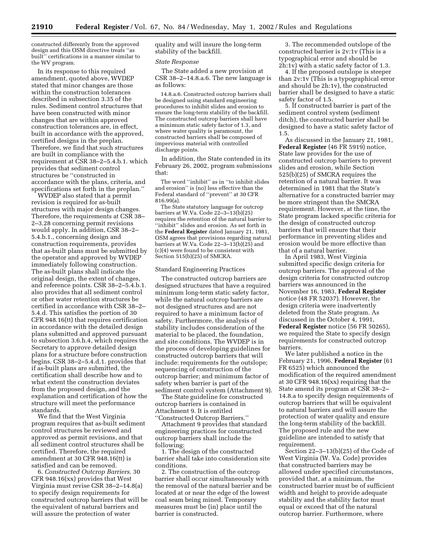constructed differently from the approved design and this OSM directive treats ''as built'' certifications in a manner similar to the WV program.

In its response to this required amendment, quoted above, WVDEP stated that minor changes are those within the construction tolerances described in subsection 3.35 of the rules. Sediment control structures that have been constructed with minor changes that are within approved construction tolerances are, in effect, built in accordance with the approved, certified designs in the preplan. Therefore, we find that such structures are built in compliance with the requirement at CSR 38–2–5.4.b.1. which provides that sediment control structures be ''constructed in accordance with the plans, criteria, and specifications set forth in the preplan.''

WVDEP also stated that a permit revision is required for as-built structures with major design changes. Therefore, the requirements at CSR 38– 2–3.28 concerning permit revisions would apply. In addition, CSR 38–2– 5.4.b.1., concerning design and construction requirements, provides that as-built plans must be submitted by the operator and approved by WVDEP immediately following construction. The as-built plans shall indicate the original design, the extent of changes, and reference points. CSR 38–2–5.4.b.1. also provides that all sediment control or other water retention structures be certified in accordance with CSR 38–2– 5.4.d. This satisfies the portion of 30 CFR 948.16(tt) that requires certification in accordance with the detailed design plans submitted and approved pursuant to subsection 3.6.h.4, which requires the Secretary to approve detailed design plans for a structure before construction begins. CSR 38–2–5.4.d.1. provides that if as-built plans are submitted, the certification shall describe how and to what extent the construction deviates from the proposed design, and the explanation and certification of how the structure will meet the performance standards.

We find that the West Virginia program requires that as-built sediment control structures be reviewed and approved as permit revisions, and that all sediment control structures shall be certified. Therefore, the required amendment at 30 CFR 948.16(tt) is satisfied and can be removed.

6. *Constructed Outcrop Barriers*. 30 CFR 948.16(xx) provides that West Virginia must revise CSR 38–2–14.8(a) to specify design requirements for constructed outcrop barriers that will be the equivalent of natural barriers and will assure the protection of water

quality and will insure the long-term stability of the backfill.

#### *State Response*

The State added a new provision at CSR 38–2–14.8.a.6. The new language is as follows:

14.8.a.6. Constructed outcrop barriers shall be designed using standard engineering procedures to inhibit slides and erosion to ensure the long-term stability of the backfill. The constructed outcrop barriers shall have a minimum static safety factor of 1.3, and where water quality is paramount, the constructed barriers shall be composed of impervious material with controlled discharge points.

In addition, the State contended in its February 26, 2002, program submissions that:

The word ''inhibit'' as in ''to inhibit slides and erosion'' is (no) less effective than the Federal standard of ''prevent'' at 30 CFR 816.99(a).

The State statutory language for outcrop barriers at W.Va. Code 22–3–13(b)(25) requires the retention of the natural barrier to ''inhibit'' slides and erosion. As set forth in the **Federal Register** dated January 21, 1981, OSM agrees that provisions regarding natural barriers at W.Va. Code 22–3–13(b)(25) and (c)(4) were found to be consistent with Section 515(b)(25) of SMCRA.

#### Standard Engineering Practices

The constructed outcrop barriers are designed structures that have a required minimum long-term static safety factor, while the natural outcrop barriers are not designed structures and are not required to have a minimum factor of safety. Furthermore, the analysis of stability includes consideration of the material to be placed, the foundation, and site conditions. The WVDEP is in the process of developing guidelines for constructed outcrop barriers that will include: requirements for the outslope; sequencing of construction of the outcrop barrier; and minimum factor of safety when barrier is part of the sediment control system (Attachment 9).

The State guideline for constructed outcrop barriers is contained in Attachment 9. It is entitled ''Constructed Outcrop Barriers.''

Attachment 9 provides that standard engineering practices for constructed outcrop barriers shall include the following:

1. The design of the constructed barrier shall take into consideration site conditions.

2. The construction of the outcrop barrier shall occur simultaneously with the removal of the natural barrier and be located at or near the edge of the lowest coal seam being mined. Temporary measures must be (in) place until the barrier is constructed.

3. The recommended outslope of the constructed barrier is 2v:1v (This is a typographical error and should be 2h:1v) with a static safety factor of 1.3.

4. If the proposed outslope is steeper than 2v:1v (This is a typographical error and should be 2h:1v), the constructed barrier shall be designed to have a static safety factor of 1.5.

5. If constructed barrier is part of the sediment control system (sediment ditch), the constructed barrier shall be designed to have a static safety factor of 1.5.

As discussed in the January 21, 1981, **Federal Register** (46 FR 5919) notice, State law provides for the use of constructed outcrop barriers to prevent slides and erosion, while Section 525(b)(25) of SMCRA requires the retention of a natural barrier. It was determined in 1981 that the State's alternative for a constructed barrier may be more stringent than the SMCRA requirement. However, at the time, the State program lacked specific criteria for the design of constructed outcrop barriers that will ensure that their performance in preventing slides and erosion would be more effective than that of a natural barrier.

In April 1983, West Virginia submitted specific design criteria for outcrop barriers. The approval of the design criteria for constructed outcrop barriers was announced in the November 16, 1983, **Federal Register** notice (48 FR 52037). However, the design criteria were inadvertently deleted from the State program. As discussed in the October 4, 1991, **Federal Register** notice (56 FR 50265), we required the State to specify design requirements for constructed outcrop barriers.

We later published a notice in the February 21, 1996, **Federal Register** (61 FR 6525) which announced the modification of the required amendment at 30 CFR 948.16(xx) requiring that the State amend its program at CSR 38–2– 14.8.a to specify design requirements of outcrop barriers that will be equivalent to natural barriers and will assure the protection of water quality and ensure the long-term stability of the backfill. The proposed rule and the new guideline are intended to satisfy that requirement.

Section 22–3–13(b)(25) of the Code of West Virginia (W. Va. Code) provides that constructed barriers may be allowed under specified circumstances, provided that, at a minimum, the constructed barrier must be of sufficient width and height to provide adequate stability and the stability factor must equal or exceed that of the natural outcrop barrier. Furthermore, where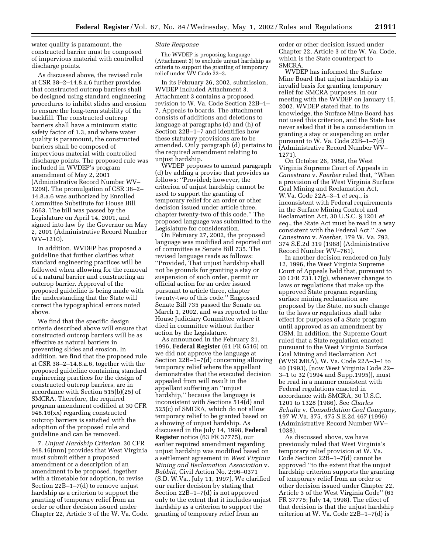water quality is paramount, the constructed barrier must be composed of impervious material with controlled discharge points.

As discussed above, the revised rule at CSR 38–2–14.8.a.6 further provides that constructed outcrop barriers shall be designed using standard engineering procedures to inhibit slides and erosion to ensure the long-term stability of the backfill. The constructed outcrop barriers shall have a minimum static safety factor of 1.3, and where water quality is paramount, the constructed barriers shall be composed of impervious material with controlled discharge points. The proposed rule was included in WVDEP's program amendment of May 2, 2001 (Administrative Record Number WV– 1209). The promulgation of CSR 38–2– 14.8.a.6 was authorized by Enrolled Committee Substitute for House Bill 2663. The bill was passed by the Legislature on April 14, 2001, and signed into law by the Governor on May 2, 2001 (Administrative Record Number WV–1210).

In addition, WVDEP has proposed a guideline that further clarifies what standard engineering practices will be followed when allowing for the removal of a natural barrier and constructing an outcrop barrier. Approval of the proposed guideline is being made with the understanding that the State will correct the typographical errors noted above.

We find that the specific design criteria described above will ensure that constructed outcrop barriers will be as effective as natural barriers in preventing slides and erosion. In addition, we find that the proposed rule at CSR 38–2–14.8.a.6, together with the proposed guideline containing standard engineering practices for the design of constructed outcrop barriers, are in accordance with Section 515(b)(25) of SMCRA. Therefore, the required program amendment codified at 30 CFR 948.16(xx) regarding constructed outcrop barriers is satisfied with the adoption of the proposed rule and guideline and can be removed.

7. *Unjust Hardship Criterion.* 30 CFR 948.16(nnn) provides that West Virginia must submit either a proposed amendment or a description of an amendment to be proposed, together with a timetable for adoption, to revise Section 22B–1–7(d) to remove unjust hardship as a criterion to support the granting of temporary relief from an order or other decision issued under Chapter 22, Article 3 of the W. Va. Code.

# *State Response*

The WVDEP is proposing language (Attachment 3) to exclude unjust hardship as criteria to support the granting of temporary relief under WV Code 22–3.

In its February 26, 2002, submission, WVDEP included Attachment 3. Attachment 3 contains a proposed revision to W. Va. Code Section 22B–1– 7, Appeals to boards. The attachment consists of additions and deletions to language at paragraphs (d) and (h) of Section 22B–1–7 and identifies how these statutory provisions are to be amended. Only paragraph (d) pertains to the required amendment relating to unjust hardship.

WVDEP proposes to amend paragraph (d) by adding a proviso that provides as follows: ''Provided; however, the criterion of unjust hardship cannot be used to support the granting of temporary relief for an order or other decision issued under article three, chapter twenty-two of this code.'' The proposed language was submitted to the Legislature for consideration.

On February 27, 2002, the proposed language was modified and reported out of committee as Senate Bill 735. The revised language reads as follows: ''Provided, That unjust hardship shall not be grounds for granting a stay or suspension of such order, permit or official action for an order issued pursuant to article three, chapter twenty-two of this code.'' Engrossed Senate Bill 735 passed the Senate on March 1, 2002, and was reported to the House Judiciary Committee where it died in committee without further action by the Legislature.

As announced in the February 21, 1996, **Federal Register** (61 FR 6516) on we did not approve the language at Section 22B–1–7(d) concerning allowing temporary relief where the appellant demonstrates that the executed decision appealed from will result in the appellant suffering an ''unjust hardship,'' because the language is inconsistent with Sections 514(d) and 525(c) of SMCRA, which do not allow temporary relief to be granted based on a showing of unjust hardship. As discussed in the July 14, 1998, **Federal Register** notice (63 FR 37775), our earlier required amendment regarding unjust hardship was modified based on a settlement agreement in *West Virginia Mining and Reclamation Association* v. *Babbitt,* Civil Action No. 2:96–0371 (S.D. W.Va., July 11, 1997). We clarified our earlier decision by stating that Section 22B–1–7(d) is not approved only to the extent that it includes unjust hardship as a criterion to support the granting of temporary relief from an

order or other decision issued under Chapter 22, Article 3 of the W. Va. Code, which is the State counterpart to SMCRA.

WVDEP has informed the Surface Mine Board that unjust hardship is an invalid basis for granting temporary relief for SMCRA purposes. In our meeting with the WVDEP on January 15, 2002, WVDEP stated that, to its knowledge, the Surface Mine Board has not used this criterion, and the State has never asked that it be a consideration in granting a stay or suspending an order pursuant to W. Va. Code 22B–1–7(d) (Administrative Record Number WV– 1271).

On October 26, 1988, the West Virginia Supreme Court of Appeals in *Canestraro* v. *Faerber* ruled that, ''When a provision of the West Virginia Surface Coal Mining and Reclamation Act, W.Va. Code 22A–3–1 *et seq.*, is inconsistent with Federal requirements in the Surface Mining Control and Reclamation Act, 30 U.S.C. § 1201 *et seq.*, the State Act must be read in a way consistent with the Federal Act.'' See *Canestraro* v. *Faerber,* 179 W. Va. 793, 374 S.E.2d 319 (1988) (Administrative Record Number WV–761).

In another decision rendered on July 12, 1996, the West Virginia Supreme Court of Appeals held that, pursuant to 30 CFR 731.17(g), whenever changes to laws or regulations that make up the approved State program regarding surface mining reclamation are proposed by the State, no such change to the laws or regulations shall take effect for purposes of a State program until approved as an amendment by OSM. In addition, the Supreme Court ruled that a State regulation enacted pursuant to the West Virginia Surface Coal Mining and Reclamation Act (WVSCMRA), W. Va. Code 22A–3–1 to 40 (1993), [now West Virginia Code 22– 3–1 to 32 (1994 and Supp.1995)], must be read in a manner consistent with Federal regulations enacted in accordance with SMCRA, 30 U.S.C. 1201 to 1328 (1986). See *Charles Schultz* v. *Consolidation Coal Company,* 197 W.Va. 375, 475 S.E.2d 467 (1996) (Administrative Record Number WV– 1038).

As discussed above, we have previously ruled that West Virginia's temporary relief provision at W. Va. Code Section 22B–1–7(d) cannot be approved ''to the extent that the unjust hardship criterion supports the granting of temporary relief from an order or other decision issued under Chapter 22, Article 3 of the West Virginia Code'' (63 FR 37775; July 14, 1998). The effect of that decision is that the unjust hardship criterion at W. Va. Code 22B–1–7(d) is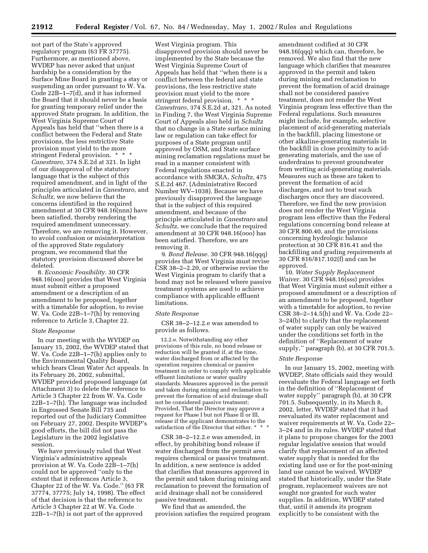not part of the State's approved regulatory program (63 FR 37775). Furthermore, as mentioned above, WVDEP has never asked that unjust hardship be a consideration by the Surface Mine Board in granting a stay or suspending an order pursuant to W. Va. Code 22B–1–7(d), and it has informed the Board that it should never be a basis for granting temporary relief under the approved State program. In addition, the West Virginia Supreme Court of Appeals has held that ''when there is a conflict between the Federal and State provisions, the less restrictive State provision must yield to the more stringent Federal provision. \* \* \* *Canestraro,* 374 S.E.2d at 321. In light of our disapproval of the statutory language that is the subject of this required amendment, and in light of the principles articulated in *Canestraro,* and *Schultz,* we now believe that the concerns identified in the required amendment at 30 CFR 948.16(nnn) have been satisfied, thereby rendering the required amendment unnecessary. Therefore, we are removing it. However, to avoid confusion or misinterpretation of the approved State regulatory program, we recommend that the statutory provision discussed above be deleted.

8. *Economic Feasibility.* 30 CFR 948.16(ooo) provides that West Virginia must submit either a proposed amendment or a description of an amendment to be proposed, together with a timetable for adoption, to revise W. Va. Code 22B–1–7(h) by removing reference to Article 3, Chapter 22.

#### *State Response*

In our meeting with the WVDEP on January 15, 2002, the WVDEP stated that W. Va. Code 22B–1–7(h) applies only to the Environmental Quality Board, which hears Clean Water Act appeals. In its February 26, 2002, submittal, WVDEP provided proposed language (at Attachment 3) to delete the reference to Article 3 Chapter 22 from W. Va. Code 22B–1–7(h). The language was included in Engrossed Senate Bill 735 and reported out of the Judiciary Committee on February 27, 2002. Despite WVDEP's good efforts, the bill did not pass the Legislature in the 2002 legislative session.

We have previously ruled that West Virginia's administrative appeals provision at W. Va. Code 22B–1–7(h) could not be approved ''only to the extent that it references Article 3, Chapter 22 of the W. Va. Code.'' (63 FR 37774, 37775; July 14, 1998). The effect of that decision is that the reference to Article 3 Chapter 22 at W. Va. Code 22B–1–7(h) is not part of the approved

West Virginia program. This disapproved provision should never be implemented by the State because the West Virginia Supreme Court of Appeals has held that ''when there is a conflict between the federal and state provisions, the less restrictive state provision must yield to the more stringent federal provision. \* \* \* *Canestraro,* 374 S.E.2d at, 321. As noted in Finding 7, the West Virginia Supreme Court of Appeals also held in *Schultz* that no change in a State surface mining law or regulation can take effect for purposes of a State program until approved by OSM, and State surface mining reclamation regulations must be read in a manner consistent with Federal regulations enacted in accordance with SMCRA, *Schultz,* 475 S.E.2d 467. (Administrative Record Number WV–1038). Because we have previously disapproved the language that is the subject of this required amendment, and because of the principle articulated in *Canestraro* and *Schultz,* we conclude that the required amendment at 30 CFR 948.16(ooo) has been satisfied. Therefore, we are removing it.

9. *Bond Release.* 30 CFR 948.16(qqq) provides that West Virginia must revise CSR 38–2–2.20, or otherwise revise the West Virginia program to clarify that a bond may not be released where passive treatment systems are used to achieve compliance with applicable effluent limitations.

#### *State Response*

CSR 38–2–12.2.e was amended to provide as follows.

12.2.e. Notwithstanding any other provisions of this rule, no bond release or reduction will be granted if, at the time, water discharged from or affected by the operation requires chemical or passive treatment in order to comply with applicable effluent limitations or water quality standards. Measures approved in the permit and taken during mining and reclamation to prevent the formation of acid drainage shall not be considered passive treatment; Provided, That the Director may approve a request for Phase I but not Phase II or III, release if the applicant demonstrates to the satisfaction of the Director that either. \*

CSR 38–2–12.2.e was amended, in effect, by prohibiting bond release if water discharged from the permit area requires chemical or passive treatment. In addition, a new sentence is added that clarifies that measures approved in the permit and taken during mining and reclamation to prevent the formation of acid drainage shall not be considered passive treatment.

We find that as amended, the provision satisfies the required program amendment codified at 30 CFR 948.16(qqq) which can, therefore, be removed. We also find that the new language which clarifies that measures approved in the permit and taken during mining and reclamation to prevent the formation of acid drainage shall not be considered passive treatment, does not render the West Virginia program less effective than the Federal regulations. Such measures might include, for example, selective placement of acid-generating materials in the backfill, placing limestone or other alkaline-generating materials in the backfill in close proximity to acidgenerating materials, and the use of underdrains to prevent groundwater from wetting acid-generating materials. Measures such as these are taken to prevent the formation of acid discharges, and not to treat such discharges once they are discovered. Therefore, we find the new provision does not render the West Virginia program less effective than the Federal regulations concerning bond release at 30 CFR 800.40, and the provisions concerning hydrologic balance protection at 30 CFR 816.41 and the backfilling and grading requirements at 30 CFR 816/817.102(f) and can be approved.

10. *Water Supply Replacement Waiver.* 30 CFR 948.16(sss) provides that West Virginia must submit either a proposed amendment or a description of an amendment to be proposed, together with a timetable for adoption, to revise CSR 38–2–14.5(h) and W. Va. Code 22– 3–24(b) to clarify that the replacement of water supply can only be waived under the conditions set forth in the definition of ''Replacement of water supply,'' paragraph (b), at 30 CFR 701.5.

#### *State Response*

In our January 15, 2002, meeting with WVDEP, State officials said they would reevaluate the Federal language set forth in the definition of ''Replacement of water supply'' paragraph (b), at 30 CFR 701.5. Subsequently, in its March 8, 2002, letter, WVDEP stated that it had reevaluated its water replacement and waiver requirements at W. Va. Code 22– 3–24 and in its rules. WVDEP stated that it plans to propose changes for the 2003 regular legislative session that would clarify that replacement of an affected water supply that is needed for the existing land use or for the post-mining land use cannot be waived. WVDEP stated that historically, under the State program, replacement waivers are not sought nor granted for such water supplies. In addition, WVDEP stated that, until it amends its program explicitly to be consistent with the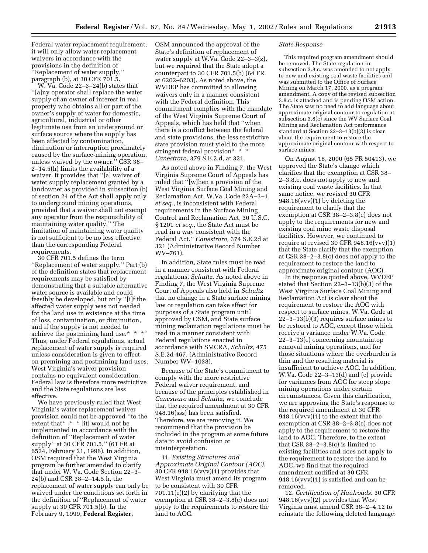Federal water replacement requirement, it will only allow water replacement waivers in accordance with the provisions in the definition of ''Replacement of water supply,'' paragraph (b), at 30 CFR 701.5.

W. Va. Code 22–3–24(b) states that ''[a]ny operator shall replace the water supply of an owner of interest in real property who obtains all or part of the owner's supply of water for domestic, agricultural, industrial or other legitimate use from an underground or surface source where the supply has been affected by contamination, diminution or interruption proximately caused by the surface-mining operation, unless waived by the owner.'' CSR 38– 2–14.5(h) limits the availability of a waiver. It provides that ''[a] waiver of water supply replacement granted by a landowner as provided in subsection (b) of section 24 of the Act shall apply only to underground mining operations, provided that a waiver shall not exempt any operator from the responsibility of maintaining water quality.'' The limitation of maintaining water quality is not sufficient to be no less effective than the corresponding Federal requirements.

30 CFR 701.5 defines the term ''Replacement of water supply.'' Part (b) of the definition states that replacement requirements may be satisfied by demonstrating that a suitable alternative water source is available and could feasibly be developed, but only ''[i]f the affected water supply was not needed for the land use in existence at the time of loss, contamination, or diminution, and if the supply is not needed to achieve the postmining land use.\* \* \*'' Thus, under Federal regulations, actual replacement of water supply is required unless consideration is given to effect on premining and postmining land uses. West Virginia's waiver provision contains no equivalent consideration. Federal law is therefore more restrictive and the State regulations are less effective.

We have previously ruled that West Virginia's water replacement waiver provision could not be approved ''to the extent that  $*$   $*$  [it] would not be implemented in accordance with the definition of ''Replacement of water supply'' at 30 CFR 701.5.'' (61 FR at 6524, February 21, 1996). In addition, OSM required that the West Virginia program be further amended to clarify that under W. Va. Code Section 22–3– 24(b) and CSR 38–2–14.5.h, the replacement of water supply can only be waived under the conditions set forth in the definition of ''Replacement of water supply at 30 CFR 701.5(b). In the February 9, 1999, **Federal Register**,

OSM announced the approval of the State's definition of replacement of water supply at W.Va. Code 22–3–3(z), but we required that the State adopt a counterpart to 30 CFR 701.5(b) (64 FR at 6202–6203). As noted above, the WVDEP has committed to allowing waivers only in a manner consistent with the Federal definition. This commitment complies with the mandate of the West Virginia Supreme Court of Appeals, which has held that ''when there is a conflict between the federal and state provisions, the less restrictive state provision must yield to the more stringent federal provision\* \* \* *Canestraro,* 379 S.E.2.d, at 321.

As noted above in Finding 7, the West Virginia Supreme Court of Appeals has ruled that ''[w]hen a provision of the West Virginia Surface Coal Mining and Reclamation Act, W.Va. Code 22A–3–1 *et seq.*, is inconsistent with Federal requirements in the Surface Mining Control and Reclamation Act, 30 U.S.C. § 1201 *et seq.*, the State Act must be read in a way consistent with the Federal Act.'' *Canestraro,* 374 S.E.2d at 321 (Administrative Record Number WV–761).

In addition, State rules must be read in a manner consistent with Federal regulations, *Schultz.* As noted above in Finding 7, the West Virginia Supreme Court of Appeals also held in *Schultz* that no change in a State surface mining law or regulation can take effect for purposes of a State program until approved by OSM, and State surface mining reclamation regulations must be read in a manner consistent with Federal regulations enacted in accordance with SMCRA, *Schultz,* 475 S.E.2d 467. (Administrative Record Number WV–1038).

Because of the State's commitment to comply with the more restrictive Federal waiver requirement, and because of the principles established in *Canestraro* and *Schultz,* we conclude that the required amendment at 30 CFR 948.16(sss) has been satisfied. Therefore, we are removing it. We recommend that the provision be included in the program at some future date to avoid confusion or misinterpretation.

11. *Existing Structures and Approximate Original Contour (AOC).* 30 CFR 948.16(vvv)(1) provides that West Virginia must amend its program to be consistent with 30 CFR 701.11(e)(2) by clarifying that the exemption at CSR 38–2–3.8(c) does not apply to the requirements to restore the land to AOC.

# *State Response*

This required program amendment should be removed. The State regulation in subsection 3.8.c. was amended to not apply to new and existing coal waste facilities and was submitted to the Office of Surface Mining on March 17, 2000, as a program amendment. A copy of the revised subsection 3.8.c. is attached and is pending OSM action. The State saw no need to add language about approximate original contour to regulation at subsection 3.8(c) since the WV Surface Coal Mining and Reclamation Act performance standard at Section 22–3–13(b)(3) is clear about the requirement to restore the approximate original contour with respect to surface mines.

On August 18, 2000 (65 FR 50413), we approved the State's change which clarifies that the exemption at CSR 38– 2–3.8.c. does not apply to new and existing coal waste facilities. In that same notice, we revised 30 CFR 948.16(vvv)(1) by deleting the requirement to clarify that the exemption at CSR 38–2–3.8(c) does not apply to the requirements for new and existing coal mine waste disposal facilities. However, we continued to require at revised 30 CFR 948.16(vvv)(1) that the State clarify that the exemption at CSR 38–2–3.8(c) does not apply to the requirement to restore the land to approximate original contour (AOC).

In its response quoted above, WVDEP stated that Section 22–3–13(b)(3) of the West Virginia Surface Coal Mining and Reclamation Act is clear about the requirement to restore the AOC with respect to surface mines. W.Va. Code at 22–3–13(b)(3) requires surface mines to be restored to AOC, except those which receive a variance under W.Va. Code 22–3–13(c) concerning mountaintop removal mining operations, and for those situations where the overburden is thin and the resulting material is insufficient to achieve AOC. In addition, W.Va. Code 22–3–13(d) and (e) provide for variances from AOC for steep slope mining operations under certain circumstances. Given this clarification, we are approving the State's response to the required amendment at 30 CFR 948.16(vvv)(1) to the extent that the exemption at CSR 38–2–3.8(c) does not apply to the requirement to restore the land to AOC. Therefore, to the extent that CSR 38–2–3.8(c) is limited to existing facilities and does not apply to the requirement to restore the land to AOC, we find that the required amendment codified at 30 CFR 948.16(vvv)(1) is satisfied and can be removed.

12. *Certification of Haulroads.* 30 CFR 948.16(vvv)(2) provides that West Virginia must amend CSR 38–2–4.12 to reinstate the following deleted language: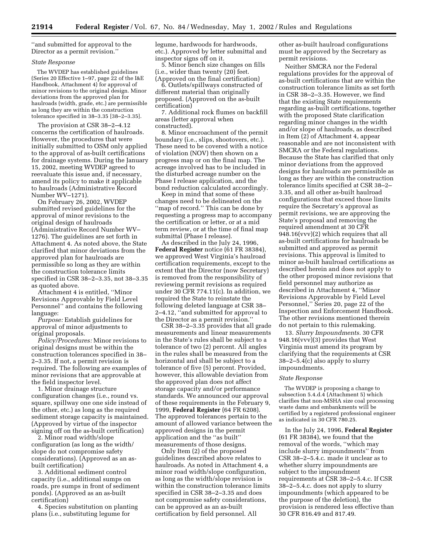''and submitted for approval to the Director as a permit revision.''

#### *State Response*

The WVDEP has established guidelines (Series 20 Effective 1–97, page 22 of the I&E Handbook, Attachment 4) for approval of minor revisions to the original design. Minor deviations from the approved plan for haulroads (width, grade, etc.) are permissible as long they are within the construction tolerance specified in 38–3.35 [38–2–3.35].

The provision at CSR 38–2–4.12 concerns the certification of haulroads. However, the procedures that were initially submitted to OSM only applied to the approval of as-built certifications for drainage systems. During the January 15, 2002, meeting WVDEP agreed to reevaluate this issue and, if necessary, amend its policy to make it applicable to haulroads (Administrative Record Number WV–1271).

On February 26, 2002, WVDEP submitted revised guidelines for the approval of minor revisions to the original design of haulroads (Administrative Record Number WV– 1276). The guidelines are set forth in Attachment 4. As noted above, the State clarified that minor deviations from the approved plan for haulroads are permissible so long as they are within the construction tolerance limits specified in CSR 38–2–3.35, not 38–3.35 as quoted above.

Attachment 4 is entitled, ''Minor Revisions Approvable by Field Level Personnel'' and contains the following language:

*Purpose:* Establish guidelines for approval of minor adjustments to original proposals.

*Policy/Procedures:* Minor revisions to original designs must be within the construction tolerances specified in 38– 2–3.35. If not, a permit revision is required. The following are examples of minor revisions that are approvable at the field inspector level.

1. Minor drainage structure configuration changes (i.e., round vs. square, spillway one one side instead of the other, etc.) as long as the required sediment storage capacity is maintained. (Approved by virtue of the inspector signing off on the as-built certification)

2. Minor road width/slope configuration (as long as the width/ slope do not compromise safety considerations). (Approved as an asbuilt certification)

3. Additional sediment control capacity (i.e., additional sumps on roads, pre sumps in front of sediment ponds). (Approved as an as-built certification)

4. Species substitution on planting plans (i.e., substituting legume for

legume, hardwoods for hardwoods, etc.). Approved by letter submittal and inspector signs off on it.

5. Minor bench size changes on fills (i.e., wider than twenty (20) feet. (Approved on the final certification)

6. Outlets/spillways constructed of different material than originally proposed. (Approved on the as-built certification)

7. Additional rock flumes on backfill areas (letter approval when constructed).

8. Minor encroachment of the permit boundary (i.e., slips, shootovers, etc.). These need to be covered with a notice of violation (NOV) then shown on a progress map or on the final map. The acreage involved has to be included in the disturbed acreage number on the Phase I release application, and the bond reduction calculated accordingly.

Keep in mind that some of these changes need to be delineated on the "map of record." This can be done by requesting a progress map to accompany the certification or letter, or at a mid term review, or at the time of final map submittal (Phase I release).

As described in the July 24, 1996, **Federal Register** notice (61 FR 38384), we approved West Virginia's haulroad certification requirements, except to the extent that the Director (now Secretary) is removed from the responsibility of reviewing permit revisions as required under 30 CFR 774.11(c). In addition, we required the State to reinstate the following deleted language at CSR 38– 2–4.12, ''and submitted for approval to the Director as a permit revision.''

CSR 38–2–3.35 provides that all grade measurements and linear measurements in the State's rules shall be subject to a tolerance of two (2) percent. All angles in the rules shall be measured from the horizontal and shall be subject to a tolerance of five (5) percent. Provided, however, this allowable deviation from the approved plan does not affect storage capacity and/or performance standards. We announced our approval of these requirements in the February 9, 1999, **Federal Register** (64 FR 6208). The approved tolerances pertain to the amount of allowed variance between the approved designs in the permit application and the ''as built'' measurements of those designs.

Only Item (2) of the proposed guidelines described above relates to haulroads. As noted in Attachment 4, a minor road width/slope configuration, as long as the width/slope revision is within the construction tolerance limits specified in CSR 38–2–3.35 and does not compromise safety considerations, can be approved as an as-built certification by field personnel. All

other as-built haulroad configurations must be approved by the Secretary as permit revisions.

Neither SMCRA nor the Federal regulations provides for the approval of as-built certifications that are within the construction tolerance limits as set forth in CSR 38–2–3.35. However, we find that the existing State requirements regarding as-built certifications, together with the proposed State clarification regarding minor changes in the width and/or slope of haulroads, as described in Item (2) of Attachment 4, appear reasonable and are not inconsistent with SMCRA or the Federal regulations. Because the State has clarified that only minor deviations from the approved designs for haulroads are permissible as long as they are within the construction tolerance limits specified at CSR 38–2– 3.35, and all other as-built haulroad configurations that exceed those limits require the Secretary's approval as permit revisions, we are approving the State's proposal and removing the required amendment at 30 CFR 948.16(vvv)(2) which requires that all as-built certifications for haulroads be submitted and approved as permit revisions. This approval is limited to minor as-built haulroad certifications as described herein and does not apply to the other proposed minor revisions that field personnel may authorize as described in Attachment 4, ''Minor Revisions Approvable by Field Level Personnel,'' Series 20, page 22 of the Inspection and Enforcement Handbook. The other revisions mentioned therein do not pertain to this rulemaking.

13. *Slurry Impoundments.* 30 CFR 948.16(vvv)(3) provides that West Virginia must amend its program by clarifying that the requirements at CSR 38–2–5.4(c) also apply to slurry impoundments.

#### *State Response*

The WVDEP is proposing a change to subsection 5.4.d.4 (Attachment 5) which clarifies that non-MSHA size coal processing waste dams and embankments will be certified by a registered professional engineer as indicated in 30 CFR 780.25.

In the July 24, 1996, **Federal Register** (61 FR 38384), we found that the removal of the words, ''which may include slurry impoundments'' from CSR 38–2–5.4.c. made it unclear as to whether slurry impoundments are subject to the impoundment requirements at CSR 38–2–5.4.c. If CSR 38–2–5.4.c. does not apply to slurry impoundments (which appeared to be the purpose of the deletion), the provision is rendered less effective than 30 CFR 816.49 and 817.49.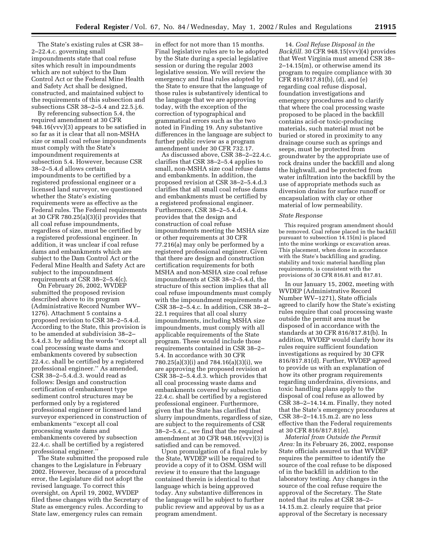The State's existing rules at CSR 38– 2–22.4.c. governing small impoundments state that coal refuse sites which result in impoundments which are not subject to the Dam Control Act or the Federal Mine Health and Safety Act shall be designed, constructed, and maintained subject to the requirements of this subsection and subsections CSR 38–2–5.4 and 22.5.j.6.

By referencing subsection 5.4, the required amendment at 30 CFR 948.16(vvv)(3) appears to be satisfied in so far as it is clear that all non-MSHA size or small coal refuse impoundments must comply with the State's impoundment requirements at subsection 5.4. However, because CSR 38–2–5.4.d allows certain impoundments to be certified by a registered professional engineer or a licensed land surveyor, we questioned whether the State's existing requirements were as effective as the Federal rules. The Federal requirements at 30 CFR 780.25(a)(3)(i) provides that all coal refuse impoundments, regardless of size, must be certified by a registered professional engineer. In addition, it was unclear if coal refuse dams and embankments which are subject to the Dam Control Act or the Federal Mine Health and Safety Act are subject to the impoundment requirements at CSR 38–2–5.4(c).

On February 26, 2002, WVDEP submitted the proposed revision described above to its program (Administrative Record Number WV– 1276). Attachment 5 contains a proposed revision to CSR 38–2–5.4.d. According to the State, this provision is to be amended at subdivision 38–2– 5.4.d.3. by adding the words ''except all coal processing waste dams and embankments covered by subsection 22.4.c. shall be certified by a registered professional engineer.'' As amended, CSR 38–2–5.4.d.3. would read as follows: Design and construction certification of embankment type sediment control structures may be performed only by a registered professional engineer or licensed land surveyor experienced in construction of embankments ''except all coal processing waste dams and embankments covered by subsection 22.4.c. shall be certified by a registered professional engineer.''

The State submitted the proposed rule changes to the Legislature in February 2002. However, because of a procedural error, the Legislature did not adopt the revised language. To correct this oversight, on April 19, 2002, WVDEP filed these changes with the Secretary of State as emergency rules. According to State law, emergency rules can remain

in effect for not more than 15 months. Final legislative rules are to be adopted by the State during a special legislative session or during the regular 2003 legislative session. We will review the emergency and final rules adopted by the State to ensure that the language of those rules is substantively identical to the language that we are approving today, with the exception of the correction of typographical and grammatical errors such as the two noted in Finding 19. Any substantive differences in the language are subject to further public review as a program amendment under 30 CFR 732.17.

As discussed above, CSR 38–2–22.4.c. clarifies that CSR 38–2–5.4 applies to small, non-MSHA size coal refuse dams and embankments. In addition, the proposed revision at CSR 38–2–5.4.d.3 clarifies that all small coal refuse dams and embankments must be certified by a registered professional engineer. Furthermore, CSR 38–2–5.4.d.4. provides that the design and construction of coal refuse impoundments meeting the MSHA size or other requirements at 30 CFR 77.216(a) may only be performed by a registered professional engineer. Given that there are design and construction certification requirements for both MSHA and non-MSHA size coal refuse impoundments at CSR 38–2–5.4.d, the structure of this section implies that all coal refuse impoundments must comply with the impoundment requirements at CSR 38–2–5.4.c. In addition, CSR 38–2– 22.1 requires that all coal slurry impoundments, including MSHA size impoundments, must comply with all applicable requirements of the State program. These would include those requirements contained in CSR 38–2– 5.4. In accordance with 30 CFR 780.25(a)(3)(i) and 784.16(a)(3)(i), we are approving the proposed revision at CSR 38–2–5.4.d.3. which provides that all coal processing waste dams and embankments covered by subsection 22.4.c. shall be certified by a registered professional engineer. Furthermore, given that the State has clarified that slurry impoundments, regardless of size, are subject to the requirements of CSR 38–2–5.4.c., we find that the required amendment at 30 CFR 948.16(vvv)(3) is satisfied and can be removed.

Upon promulgation of a final rule by the State, WVDEP will be required to provide a copy of it to OSM. OSM will review it to ensure that the language contained therein is identical to that language which is being approved today. Any substantive differences in the language will be subject to further public review and approval by us as a program amendment.

14. *Coal Refuse Disposal in the Backfill.* 30 CFR 948.15(vvv)(4) provides that West Virginia must amend CSR 38– 2–14.15(m), or otherwise amend its program to require compliance with 30 CFR 816/817.81(b), (d), and (e) regarding coal refuse disposal, foundation investigations and emergency procedures and to clarify that where the coal processing waste proposed to be placed in the backfill contains acid-or toxic-producing materials, such material must not be buried or stored in proximity to any drainage course such as springs and seeps, must be protected from groundwater by the appropriate use of rock drains under the backfill and along the highwall, and be protected from water infiltration into the backfill by the use of appropriate methods such as diversion drains for surface runoff or encapsulation with clay or other material of low permeability.

#### *State Response*

This required program amendment should be removed. Coal refuse placed in the backfill pursuant to subsection 14.15(m) is placed into the mine workings or excavation areas. This placement, when done in accordance with the State's backfilling and grading, stability and toxic material handling plan requirements, is consistent with the provisions of 30 CFR 816.81 and 817.81.

In our January 15, 2002, meeting with WVDEP (Administrative Record Number WV–1271), State officials agreed to clarify how the State's existing rules require that coal processing waste outside the permit area must be disposed of in accordance with the standards at 30 CFR 816/817.81(b). In addition, WVDEP would clarify how its rules require sufficient foundation investigations as required by 30 CFR 816/817.81(d). Further, WVDEP agreed to provide us with an explanation of how its other program requirements regarding underdrains, diversions, and toxic handling plans apply to the disposal of coal refuse as allowed by CSR 38–2–14.14.m. Finally, they noted that the State's emergency procedures at CSR 38–2–14.15.m.2. are no less effective than the Federal requirements at 30 CFR 816/817.81(e).

*Material from Outside the Permit Area:* In its February 26, 2002, response State officials assured us that WVDEP requires the permittee to identify the source of the coal refuse to be disposed of in the backfill in addition to the laboratory testing. Any changes in the source of the coal refuse require the approval of the Secretary. The State noted that its rules at CSR 38–2– 14.15.m.2. clearly require that prior approval of the Secretary is necessary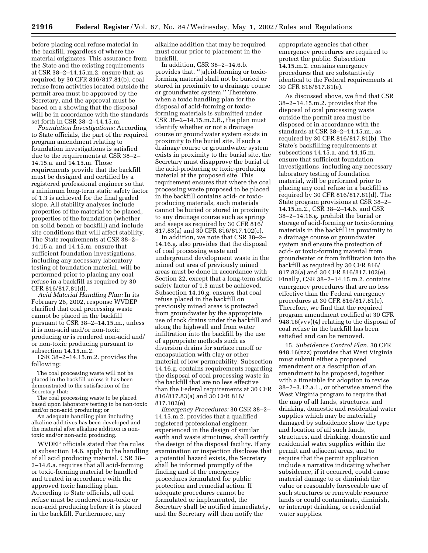before placing coal refuse material in the backfill, regardless of where the material originates. This assurance from the State and the existing requirements at CSR 38–2–14.15.m.2. ensure that, as required by 30 CFR 816/817.81(b), coal refuse from activities located outside the permit area must be approved by the Secretary, and the approval must be based on a showing that the disposal will be in accordance with the standards set forth in CSR 38–2–14.15.m.

*Foundation Investigations:* According to State officials, the part of the required program amendment relating to foundation investigations is satisfied due to the requirements at CSR 38–2– 14.15.a. and 14.15.m. Those requirements provide that the backfill must be designed and certified by a registered professional engineer so that a minimum long-term static safety factor of 1.3 is achieved for the final graded slope. All stability analyses include properties of the material to be placed, properties of the foundation (whether on solid bench or backfill) and include site conditions that will affect stability. The State requirements at CSR 38–2– 14.15.a. and 14.15.m. ensure that sufficient foundation investigations, including any necessary laboratory testing of foundation material, will be performed prior to placing any coal refuse in a backfill as required by 30 CFR 816/817.81(d).

*Acid Material Handling Plan:* In its February 26, 2002, response WVDEP clarified that coal processing waste cannot be placed in the backfill pursuant to CSR 38–2–14.15.m., unless it is non-acid and/or non-toxic producing or is rendered non-acid and/ or non-toxic producing pursuant to subsection 14.15.m.2.

CSR 38–2–14.15.m.2. provides the following:

The coal processing waste will not be placed in the backfill unless it has been demonstrated to the satisfaction of the Secretary that:

The coal processing waste to be placed based upon laboratory testing to be non-toxic and/or non-acid producing; or

An adequate handling plan including alkaline additives has been developed and the material after alkaline addition is nontoxic and/or non-acid producing.

WVDEP officials stated that the rules at subsection 14.6. apply to the handling of all acid producing material. CSR 38– 2–14.6.a. requires that all acid-forming or toxic-forming material be handled and treated in accordance with the approved toxic handling plan. According to State officials, all coal refuse must be rendered non-toxic or non-acid producing before it is placed in the backfill. Furthermore, any

alkaline addition that may be required must occur prior to placement in the backfill.

In addition, CSR 38–2–14.6.b. provides that, ''[a]cid-forming or toxicforming material shall not be buried or stored in proximity to a drainage course or groundwater system.'' Therefore, when a toxic handling plan for the disposal of acid-forming or toxicforming materials is submitted under CSR 38–2–14.15.m.2.B., the plan must identify whether or not a drainage course or groundwater system exists in proximity to the burial site. If such a drainage course or groundwater system exists in proximity to the burial site, the Secretary must disapprove the burial of the acid-producing or toxic-producing material at the proposed site. This requirement ensures that where the coal processing waste proposed to be placed in the backfill contains acid- or toxicproducing materials, such materials cannot be buried or stored in proximity to any drainage course such as springs and seeps as required by 30 CFR 816/ 817.83(a) and 30 CFR 816/817.102(e).

In addition, we note that CSR 38–2– 14.16.g. also provides that the disposal of coal processing waste and underground development waste in the mined out area of previously mined areas must be done in accordance with Section 22, except that a long-term static safety factor of 1.3 must be achieved. Subsection 14.16.g. ensures that coal refuse placed in the backfill on previously mined areas is protected from groundwater by the appropriate use of rock drains under the backfill and along the highwall and from water infiltration into the backfill by the use of appropriate methods such as diversion drains for surface runoff or encapsulation with clay or other material of low permeability. Subsection 14.16.g. contains requirements regarding the disposal of coal processing waste in the backfill that are no less effective than the Federal requirements at 30 CFR 816/817.83(a) and 30 CFR 816/ 817.102(e)

*Emergency Procedures:* 30 CSR 38–2– 14.15.m.2. provides that a qualified registered professional engineer, experienced in the design of similar earth and waste structures, shall certify the design of the disposal facility. If any examination or inspection discloses that a potential hazard exists, the Secretary shall be informed promptly of the finding and of the emergency procedures formulated for public protection and remedial action. If adequate procedures cannot be formulated or implemented, the Secretary shall be notified immediately, and the Secretary will then notify the

appropriate agencies that other emergency procedures are required to protect the public. Subsection 14.15.m.2. contains emergency procedures that are substantively identical to the Federal requirements at 30 CFR 816/817.81(e).

As discussed above, we find that CSR 38–2–14.15.m.2. provides that the disposal of coal processing waste outside the permit area must be disposed of in accordance with the standards at CSR 38–2–14.15.m., as required by 30 CFR 816/817.81(b). The State's backfilling requirements at subsections 14.15.a. and 14.15.m. ensure that sufficient foundation investigations, including any necessary laboratory testing of foundation material, will be performed prior to placing any coal refuse in a backfill as required by 30 CFR 816/817.81(d). The State program provisions at CSR 38–2– 14.15.m.2., CSR 38–2–14.6. and CSR 38–2–14.16.g. prohibit the burial or storage of acid-forming or toxic-forming materials in the backfill in proximity to a drainage course or groundwater system and ensure the protection of acid- or toxic-forming material from groundwater or from infiltration into the backfill as required by 30 CFR 816/ 817.83(a) and 30 CFR 816/817.102(e). Finally, CSR 38–2–14.15.m.2. contains emergency procedures that are no less effective than the Federal emergency procedures at 30 CFR 816/817.81(e). Therefore, we find that the required program amendment codified at 30 CFR 948.16(vvv)(4) relating to the disposal of coal refuse in the backfill has been satisfied and can be removed.

15. *Subsidence Control Plan.* 30 CFR 948.16(zzz) provides that West Virginia must submit either a proposed amendment or a description of an amendment to be proposed, together with a timetable for adoption to revise 38–2–3.12.a.1., or otherwise amend the West Virginia program to require that the map of all lands, structures, and drinking, domestic and residential water supplies which may be materially damaged by subsidence show the type and location of all such lands, structures, and drinking, domestic and residential water supplies within the permit and adjacent areas, and to require that the permit application include a narrative indicating whether subsidence, if it occurred, could cause material damage to or diminish the value or reasonably foreseeable use of such structures or renewable resource lands or could contaminate, diminish, or interrupt drinking, or residential water supplies.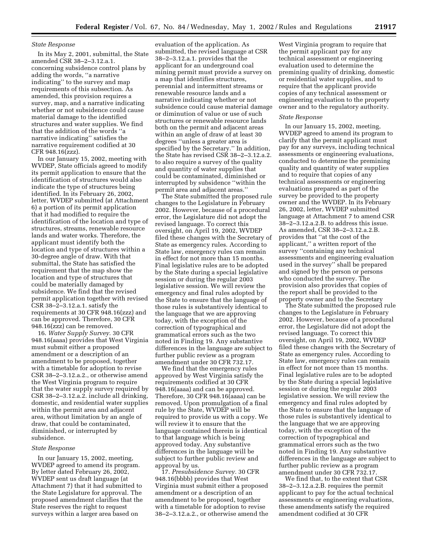#### *State Response*

In its May 2, 2001, submittal, the State amended CSR 38–2–3.12.a.1. concerning subsidence control plans by adding the words, ''a narrative indicating'' to the survey and map requirements of this subsection. As amended, this provision requires a survey, map, and a narrative indicating whether or not subsidence could cause material damage to the identified structures and water supplies. We find that the addition of the words ''a narrative indicating'' satisfies the narrative requirement codified at 30 CFR 948.16(zzz).

In our January 15, 2002, meeting with WVDEP, State officials agreed to modify its permit application to ensure that the identification of structures would also indicate the type of structures being identified. In its February 26, 2002, letter, WVDEP submitted (at Attachment 6) a portion of its permit application that it had modified to require the identification of the location and type of structures, streams, renewable resource lands and water works. Therefore, the applicant must identify both the location and type of structures within a 30-degree angle of draw. With that submittal, the State has satisfied the requirement that the map show the location and type of structures that could be materially damaged by subsidence. We find that the revised permit application together with revised CSR 38–2–3.12.a.1. satisfy the requirements at 30 CFR 948.16(zzz) and can be approved. Therefore, 30 CFR 948.16(zzz) can be removed.

16. *Water Supply Survey.* 30 CFR 948.16(aaaa) provides that West Virginia must submit either a proposed amendment or a description of an amendment to be proposed, together with a timetable for adoption to revise CSR 38–2–3.12.a.2., or otherwise amend the West Virginia program to require that the water supply survey required by CSR 38–2–3.12.a.2. include all drinking, domestic, and residential water supplies within the permit area and adjacent area, without limitation by an angle of draw, that could be contaminated, diminished, or interrupted by subsidence.

#### *State Response*

In our January 15, 2002, meeting, WVDEP agreed to amend its program. By letter dated February 26, 2002, WVDEP sent us draft language (at Attachment 7) that it had submitted to the State Legislature for approval. The proposed amendment clarifies that the State reserves the right to request surveys within a larger area based on

evaluation of the application. As submitted, the revised language at CSR 38–2–3.12.a.1. provides that the applicant for an underground coal mining permit must provide a survey on a map that identifies structures, perennial and intermittent streams or renewable resource lands and a narrative indicating whether or not subsidence could cause material damage or diminution of value or use of such structures or renewable resource lands both on the permit and adjacent areas within an angle of draw of at least 30 degrees ''unless a greater area is specified by the Secretary.'' In addition, the State has revised CSR 38–2–3.12.a.2. to also require a survey of the quality and quantity of water supplies that could be contaminated, diminished or interrupted by subsidence ''within the permit area and adjacent areas.''

The State submitted the proposed rule changes to the Legislature in February 2002. However, because of a procedural error, the Legislature did not adopt the revised language. To correct this oversight, on April 19, 2002, WVDEP filed these changes with the Secretary of State as emergency rules. According to State law, emergency rules can remain in effect for not more than 15 months. Final legislative rules are to be adopted by the State during a special legislative session or during the regular 2003 legislative session. We will review the emergency and final rules adopted by the State to ensure that the language of those rules is substantively identical to the language that we are approving today, with the exception of the correction of typographical and grammatical errors such as the two noted in Finding 19. Any substantive differences in the language are subject to further public review as a program amendment under 30 CFR 732.17.

We find that the emergency rules approved by West Virginia satisfy the requirements codified at 30 CFR 948.16(aaaa) and can be approved. Therefore, 30 CFR 948.16(aaaa) can be removed. Upon promulgation of a final rule by the State, WVDEP will be required to provide us with a copy. We will review it to ensure that the language contained therein is identical to that language which is being approved today. Any substantive differences in the language will be subject to further public review and approval by us.

17. *Presubsidence Survey.* 30 CFR 948.16(bbbb) provides that West Virginia must submit either a proposed amendment or a description of an amendment to be proposed, together with a timetable for adoption to revise 38–2–3.12.a.2., or otherwise amend the

West Virginia program to require that the permit applicant pay for any technical assessment or engineering evaluation used to determine the premining quality of drinking, domestic or residential water supplies, and to require that the applicant provide copies of any technical assessment or engineering evaluation to the property owner and to the regulatory authority.

#### *State Response*

In our January 15, 2002, meeting, WVDEP agreed to amend its program to clarify that the permit applicant must pay for any surveys, including technical assessments or engineering evaluations, conducted to determine the premining quality and quantity of water supplies and to require that copies of any technical assessments or engineering evaluations prepared as part of the survey be provided to the property owner and the WVDEP. In its February 26, 2002, letter, WVDEP submitted language at Attachment 7 to amend CSR 38–2–3.12.a.2.B. to address this issue. As amended, CSR 38–2–3.12.a.2.B. provides that ''at the cost of the applicant,'' a written report of the survey ''containing any technical assessments and engineering evaluation used in the survey'' shall be prepared and signed by the person or persons who conducted the survey. The provision also provides that copies of the report shall be provided to the property owner and to the Secretary

The State submitted the proposed rule changes to the Legislature in February 2002. However, because of a procedural error, the Legislature did not adopt the revised language. To correct this oversight, on April 19, 2002, WVDEP filed these changes with the Secretary of State as emergency rules. According to State law, emergency rules can remain in effect for not more than 15 months. Final legislative rules are to be adopted by the State during a special legislative session or during the regular 2003 legislative session. We will review the emergency and final rules adopted by the State to ensure that the language of those rules is substantively identical to the language that we are approving today, with the exception of the correction of typographical and grammatical errors such as the two noted in Finding 19. Any substantive differences in the language are subject to further public review as a program amendment under 30 CFR 732.17.

We find that, to the extent that CSR 38–2–3.12.a.2.B. requires the permit applicant to pay for the actual technical assessments or engineering evaluations, these amendments satisfy the required amendment codified at 30 CFR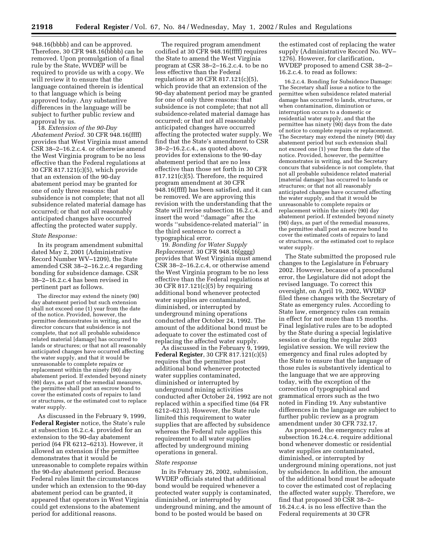948.16(bbbb) and can be approved. Therefore, 30 CFR 948.16(bbbb) can be removed. Upon promulgation of a final rule by the State, WVDEP will be required to provide us with a copy. We will review it to ensure that the language contained therein is identical to that language which is being approved today. Any substantive differences in the language will be subject to further public review and approval by us.

18. *Extension of the 90-Day Abatement Period.* 30 CFR 948.16(ffff) provides that West Virginia must amend CSR 38–2–16.2.c.4. or otherwise amend the West Virginia program to be no less effective than the Federal regulations at 30 CFR 817.121(c)(5), which provide that an extension of the 90-day abatement period may be granted for one of only three reasons: that subsidence is not complete; that not all subsidence related material damage has occurred; or that not all reasonably anticipated changes have occurred affecting the protected water supply.

# *State Response:*

In its program amendment submittal dated May 2, 2001 (Administrative Record Number WV–1209), the State amended CSR 38–2–16.2.c.4 regarding bonding for subsidence damage. CSR 38–2–16.2.c.4 has been revised in pertinent part as follows.

The director may extend the ninety (90) day abatement period but such extension shall not exceed one (1) year from the date of the notice. Provided, however, the permittee demonstrates in writing, and the director concurs that subsidence is not complete, that not all probable subsidence related material [damage] has occurred to lands or structures; or that not all reasonably anticipated changes have occurred affecting the water supply, and that it would be unreasonable to complete repairs or replacement within the ninety (90) day abatement period. If extended beyond ninety (90) days, as part of the remedial measures, the permittee shall post an escrow bond to cover the estimated costs of repairs to land or structures, or the estimated cost to replace water supply.

As discussed in the February 9, 1999, **Federal Register** notice, the State's rule at subsection 16.2.c.4. provided for an extension to the 90-day abatement period (64 FR 6212–6213). However, it allowed an extension if the permittee demonstrates that it would be unreasonable to complete repairs within the 90-day abatement period. Because Federal rules limit the circumstances under which an extension to the 90-day abatement period can be granted, it appeared that operators in West Virginia could get extensions to the abatement period for additional reasons.

The required program amendment codified at 30 CFR 948.16(ffff) requires the State to amend the West Virginia program at CSR 38–2–16.2.c.4. to be no less effective than the Federal regulations at 30 CFR 817.121(c)(5), which provide that an extension of the 90-day abatement period may be granted for one of only three reasons: that subsidence is not complete; that not all subsidence-related material damage has occurred; or that not all reasonably anticipated changes have occurred affecting the protected water supply. We find that the State's amendment to CSR 38–2–16.2.c.4., as quoted above, provides for extensions to the 90-day abatement period that are no less effective than those set forth in 30 CFR 817.121(c)(5). Therefore, the required program amendment at 30 CFR 948.16(ffff) has been satisfied, and it can be removed. We are approving this revision with the understanding that the State will revise subsection 16.2.c.4. and insert the word ''damage'' after the words ''subsidence-related material'' in the third sentence to correct a typographical error.

19. *Bonding for Water Supply Replacement.* 30 CFR 948.16(gggg) provides that West Virginia must amend CSR 38–2–16.2.c.4, or otherwise amend the West Virginia program to be no less effective than the Federal regulations at 30 CFR 817.121(c)(5) by requiring additional bond whenever protected water supplies are contaminated, diminished, or interrupted by underground mining operations conducted after October 24, 1992. The amount of the additional bond must be adequate to cover the estimated cost of replacing the affected water supply.

As discussed in the February 9, 1999, **Federal Register**, 30 CFR 817.121(c)(5) requires that the permittee post additional bond whenever protected water supplies contaminated, diminished or interrupted by underground mining activities conducted after October 24, 1992 are not replaced within a specified time (64 FR 6212–6213). However, the State rule limited this requirement to water supplies that are affected by subsidence whereas the Federal rule applies this requirement to all water supplies affected by underground mining operations in general.

# *State response*

In its February 26, 2002, submission, WVDEP officials stated that additional bond would be required whenever a protected water supply is contaminated, diminished, or interrupted by underground mining, and the amount of bond to be posted would be based on

the estimated cost of replacing the water supply (Administrative Record No. WV– 1276). However, for clarification, WVDEP proposed to amend CSR 38–2– 16.2.c.4. to read as follows:

16.2.c.4. Bonding for Subsidence Damage: The Secretary shall issue a notice to the permittee when subsidence related material damage has occurred to lands, structures, or when contamination, diminution or interruption occurs to a domestic or residential water supply, and that the permittee has ninety (90) days from the date of notice to complete repairs or replacement. The Secretary may extend the ninety (90) day abatement period but such extension shall not exceed one (1) year from the date of the notice. Provided, however, the permittee demonstrates in writing, and the Secretary concurs that subsidence is not complete, that not all probable subsidence related material [material damage] has occurred to lands or structures; or that not all reasonably anticipated changes have occurred affecting the water supply, and that it would be unreasonable to complete repairs or replacement within the ninety (90) day abatement period. If extended beyond ninety (90) days, as part of the remedial measures, the permittee shall post an escrow bond to cover the estimated costs of repairs to land or structures, or the estimated cost to replace water supply.

The State submitted the proposed rule changes to the Legislature in February 2002. However, because of a procedural error, the Legislature did not adopt the revised language. To correct this oversight, on April 19, 2002, WVDEP filed these changes with the Secretary of State as emergency rules. According to State law, emergency rules can remain in effect for not more than 15 months. Final legislative rules are to be adopted by the State during a special legislative session or during the regular 2003 legislative session. We will review the emergency and final rules adopted by the State to ensure that the language of those rules is substantively identical to the language that we are approving today, with the exception of the correction of typographical and grammatical errors such as the two noted in Finding 19. Any substantive differences in the language are subject to further public review as a program amendment under 30 CFR 732.17.

As proposed, the emergency rules at subsection 16.24.c.4. require additional bond whenever domestic or residential water supplies are contaminated, diminished, or interrupted by underground mining operations, not just by subsidence. In addition, the amount of the additional bond must be adequate to cover the estimated cost of replacing the affected water supply. Therefore, we find that proposed 30 CSR 38–2– 16.24.c.4. is no less effective than the Federal requirements at 30 CFR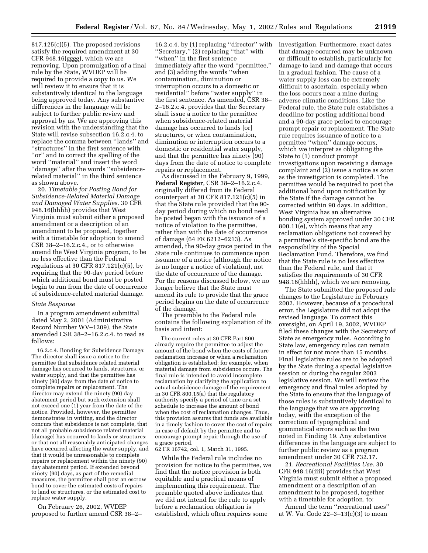817.125(c)(5). The proposed revisions satisfy the required amendment at 30 CFR 948.16(gggg), which we are removing. Upon promulgation of a final rule by the State, WVDEP will be required to provide a copy to us. We will review it to ensure that it is substantively identical to the language being approved today. Any substantive differences in the language will be subject to further public review and approval by us. We are approving this revision with the understanding that the State will revise subsection 16.2.c.4. to replace the comma between ''lands'' and ''structures'' in the first sentence with ''or'' and to correct the spelling of the word ''material'' and insert the word ''damage'' after the words ''subsidencerelated material'' in the third sentence as shown above.

20. *Timetable for Posting Bond for Subsidence-Related Material Damage and Damaged Water Supplies.* 30 CFR 948.16(hhhh) provides that West Virginia must submit either a proposed amendment or a description of an amendment to be proposed, together with a timetable for adoption to amend CSR 38–2–16.2.c.4., or to otherwise amend the West Virginia program, to be no less effective than the Federal regulations at 30 CFR 817.121(c)(5), by requiring that the 90-day period before which additional bond must be posted begin to run from the date of occurrence of subsidence-related material damage.

#### *State Response*

In a program amendment submittal dated May 2, 2001 (Administrative Record Number WV–1209), the State amended CSR 38–2–16.2.c.4. to read as follows:

16.2.c.4. Bonding for Subsidence Damage: The director shall issue a notice to the permittee that subsidence related material damage has occurred to lands, structures, or water supply, and that the permittee has ninety (90) days from the date of notice to complete repairs or replacement. The director may extend the ninety (90) day abatement period but such extension shall not exceed one (1) year from the date of the notice. Provided, however, the permittee demonstrates in writing, and the director concurs that subsidence is not complete, that not all probable subsidence related material [damage] has occurred to lands or structures; or that not all reasonably anticipated changes have occurred affecting the water supply, and that it would be unreasonable to complete repairs or replacement within the ninety (90) day abatement period. If extended beyond ninety (90) days, as part of the remedial measures, the permittee shall post an escrow bond to cover the estimated costs of repairs to land or structures, or the estimated cost to replace water supply.

On February 26, 2002, WVDEP proposed to further amend CSR 38–2–

16.2.c.4. by (1) replacing ''director'' with ''Secretary,'' (2) replacing ''that'' with ''when'' in the first sentence immediately after the word ''permittee,'' and (3) adding the words ''when contamination, diminution or interruption occurs to a domestic or residential'' before ''water supply'' in the first sentence. As amended, CSR 38– 2–16.2.c.4. provides that the Secretary shall issue a notice to the permittee when subsidence-related material damage has occurred to lands [or] structures, or when contamination, diminution or interruption occurs to a domestic or residential water supply, and that the permittee has ninety (90) days from the date of notice to complete repairs or replacement.

As discussed in the February 9, 1999, **Federal Register**, CSR 38–2–16.2.c.4. originally differed from its Federal counterpart at 30 CFR 817.121(c)(5) in that the State rule provided that the 90 day period during which no bond need be posted began with the issuance of a notice of violation to the permittee, rather than with the date of occurrence of damage (64 FR 6212–6213). As amended, the 90-day grace period in the State rule continues to commence upon issuance of a notice (although the notice is no longer a notice of violation), not the date of occurrence of the damage. For the reasons discussed below, we no longer believe that the State must amend its rule to provide that the grace period begins on the date of occurrence of the damage.

The preamble to the Federal rule contains the following explanation of its basis and intent:

The current rules at 30 CFR Part 800 already require the permittee to adjust the amount of the bond when the costs of future reclamation increase or when a reclamation obligation is established; for example, when material damage from subsidence occurs. The final rule is intended to avoid incomplete reclamation by clarifying the application to actual subsidence damage of the requirement in 30 CFR 800.15(a) that the regulatory authority specify a period of time or a set schedule to increase the amount of bond when the cost of reclamation changes. Thus, this provision assures that funds are available in a timely fashion to cover the cost of repairs in case of default by the permittee and to encourage prompt repair through the use of a grace period.

62 FR 16742, col. 1, March 31, 1995.

While the Federal rule includes no provision for notice to the permittee, we find that the notice provision is both equitable and a practical means of implementing this requirement. The preamble quoted above indicates that we did not intend for the rule to apply before a reclamation obligation is established, which often requires some

investigation. Furthermore, exact dates that damage occurred may be unknown or difficult to establish, particularly for damage to land and damage that occurs in a gradual fashion. The cause of a water supply loss can be extremely difficult to ascertain, especially when the loss occurs near a mine during adverse climatic conditions. Like the Federal rule, the State rule establishes a deadline for posting additional bond and a 90-day grace period to encourage prompt repair or replacement. The State rule requires issuance of notice to a permittee ''when'' damage occurs, which we interpret as obligating the State to (1) conduct prompt investigations upon receiving a damage complaint and (2) issue a notice as soon as the investigation is completed. The permittee would be required to post the additional bond upon notification by the State if the damage cannot be corrected within 90 days. In addition, West Virginia has an alternative bonding system approved under 30 CFR 800.11(e), which means that any reclamation obligations not covered by a permittee's site-specific bond are the responsibility of the Special Reclamation Fund. Therefore, we find that the State rule is no less effective than the Federal rule, and that it satisfies the requirements of 30 CFR 948.16(hhhh), which we are removing.

The State submitted the proposed rule changes to the Legislature in February 2002. However, because of a procedural error, the Legislature did not adopt the revised language. To correct this oversight, on April 19, 2002, WVDEP filed these changes with the Secretary of State as emergency rules. According to State law, emergency rules can remain in effect for not more than 15 months. Final legislative rules are to be adopted by the State during a special legislative session or during the regular 2003 legislative session. We will review the emergency and final rules adopted by the State to ensure that the language of those rules is substantively identical to the language that we are approving today, with the exception of the correction of typographical and grammatical errors such as the two noted in Finding 19. Any substantive differences in the language are subject to further public review as a program amendment under 30 CFR 732.17.

21. *Recreational Facilities Use.* 30 CFR 948.16(iiii) provides that West Virginia must submit either a proposed amendment or a description of an amendment to be proposed, together with a timetable for adoption, to:

Amend the term ''recreational uses'' at W. Va. Code 22–3–13(c)(3) to mean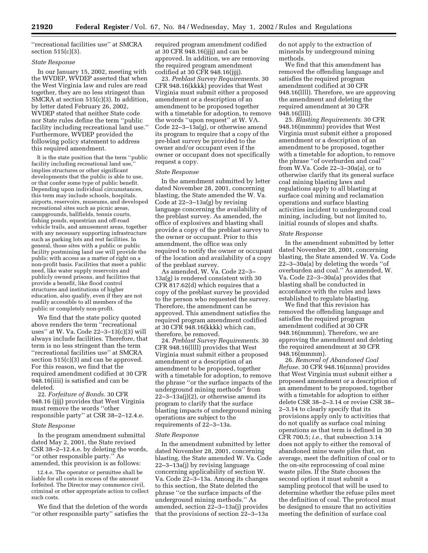''recreational facilities use'' at SMCRA section 515(c)(3).

# *State Response*

In our January 15, 2002, meeting with the WVDEP, WVDEP asserted that when the West Virginia law and rules are read together, they are no less stringent than SMCRA at section 515(c)(3). In addition, by letter dated February 26, 2002, WVDEP stated that neither State code nor State rules define the term ''public facility including recreational land use.'' Furthermore, WVDEP provided the following policy statement to address this required amendment.

It is the state position that the term ''public facility including recreational land use, implies structures or other significant developments that the public is able to use, or that confer some type of public benefit. Depending upon individual circumstances, this term may include schools, hospitals, airports, reservoirs, museums, and developed recreational sites such as picnic areas, campgrounds, ballfields, tennis courts, fishing ponds, equestrian and off-road vehicle trails, and amusement areas, together with any necessary supporting infrastructure such as parking lots and rest facilities. In general, those sites with a public or public facility postmining land use will provide the public with access as a matter of right on a non-profit basis. Facilities that meet a public need, like water supply reservoirs and publicly owned prisons, and facilities that provide a benefit, like flood control structures and institutions of higher education, also qualify, even if they are not readily accessible to all members of the public or completely non-profit.

We find that the state policy quoted above renders the term ''recreational uses'' at W. Va. Code 22–3–13(c)(3) will always include facilities. Therefore, that term is no less stringent than the term ''recreational facilities use'' at SMCRA section 515(c)(3) and can be approved. For this reason, we find that the required amendment codified at 30 CFR 948.16(iiii) is satisfied and can be deleted.

22. *Forfeiture of Bonds.* 30 CFR 948.16 (jjjj) provides that West Virginia must remove the words ''other responsible party'' at CSR 38–2–12.4.e.

# *State Response*

In the program amendment submittal dated May 2, 2001, the State revised CSR 38–2–12.4.e. by deleting the words, ''or other responsible party.'' As amended, this provision is as follows:

12.4.e. The operator or permittee shall be liable for all costs in excess of the amount forfeited. The Director may commence civil, criminal or other appropriate action to collect such costs.

We find that the deletion of the words ''or other responsible party'' satisfies the required program amendment codified at 30 CFR 948.16(jjjj) and can be approved. In addition, we are removing the required program amendment codified at 30 CFR 948.16(jjjj).

23. *Preblast Survey Requirements.* 30 CFR 948.16(kkkk) provides that West Virginia must submit either a proposed amendment or a description of an amendment to be proposed together with a timetable for adoption, to remove the words ''upon request'' at W. VA. Code 22–3–13a(g), or otherwise amend its program to require that a copy of the pre-blast survey be provided to the owner and/or occupant even if the owner or occupant does not specifically request a copy.

#### *State Response*

In the amendment submitted by letter dated November 28, 2001, concerning blasting, the State amended the W. Va. Code at 22–3–13a(g) by revising language concerning the availability of the preblast survey. As amended, the office of explosives and blasting shall provide a copy of the preblast survey to the owner or occupant. Prior to this amendment, the office was only required to notify the owner or occupant of the location and availability of a copy of the preblast survey.

As amended, W. Va. Code 22–3– 13a(g) is rendered consistent with 30 CFR 817.62(d) which requires that a copy of the preblast survey be provided to the person who requested the survey. Therefore, the amendment can be approved. This amendment satisfies the required program amendment codified at 30 CFR 948.16(kkkk) which can, therefore, be removed.

24. *Preblast Survey Requirements.* 30 CFR 948.16(llll) provides that West Virginia must submit either a proposed amendment or a description of an amendment to be proposed, together with a timetable for adoption, to remove the phrase ''or the surface impacts of the underground mining methods'' from  $22-3-13a(i)(2)$ , or otherwise amend its program to clarify that the surface blasting impacts of underground mining operations are subject to the requirements of 22–3–13a.

#### *State Response*

In the amendment submitted by letter dated November 28, 2001, concerning blasting, the State amended W. Va. Code 22–3–13a(j) by revising language concerning applicability of section W. Va. Code 22–3–13a. Among its changes to this section, the State deleted the phrase ''or the surface impacts of the underground mining methods.'' As amended, section 22–3–13a(j) provides that the provisions of section 22–3–13a

do not apply to the extraction of minerals by underground mining methods.

We find that this amendment has removed the offending language and satisfies the required program amendment codified at 30 CFR 948.16(llll). Therefore, we are approving the amendment and deleting the required amendment at 30 CFR 948.16(llll).

25. *Blasting Requirements.* 30 CFR 948.16(mmmm) provides that West Virginia must submit either a proposed amendment or a description of an amendment to be proposed, together with a timetable for adoption, to remove the phrase ''of overburden and coal'' from W.Va. Code 22–3–30a(a), or to otherwise clarify that its general surface coal mining blasting laws and regulations apply to all blasting at surface coal mining and reclamation operations and surface blasting activities incident to underground coal mining, including, but not limited to, initial rounds of slopes and shafts.

#### *State Response*

In the amendment submitted by letter dated November 28, 2001, concerning blasting, the State amended W. Va. Code 22–3–30a(a) by deleting the words ''of overburden and coal.'' As amended, W. Va. Code 22–3–30a(a) provides that blasting shall be conducted in accordance with the rules and laws established to regulate blasting.

We find that this revision has removed the offending language and satisfies the required program amendment codified at 30 CFR 948.16(mmmm). Therefore, we are approving the amendment and deleting the required amendment at 30 CFR 948.16(mmmm).

26. *Removal of Abandoned Coal Refuse.* 30 CFR 948.16(nnnn) provides that West Virginia must submit either a proposed amendment or a description of an amendment to be proposed, together with a timetable for adoption to either delete CSR 38–2–3.14 or revise CSR 38– 2–3.14 to clearly specify that its provisions apply only to activities that do not qualify as surface coal mining operations as that term is defined in 30 CFR 700.5; *i.e.,* that subsection 3.14 does not apply to either the removal of abandoned mine waste piles that, on average, meet the definition of coal or to the on-site reprocessing of coal mine waste piles. If the State chooses the second option it must submit a sampling protocol that will be used to determine whether the refuse piles meet the definition of coal. The protocol must be designed to ensure that no activities meeting the definition of surface coal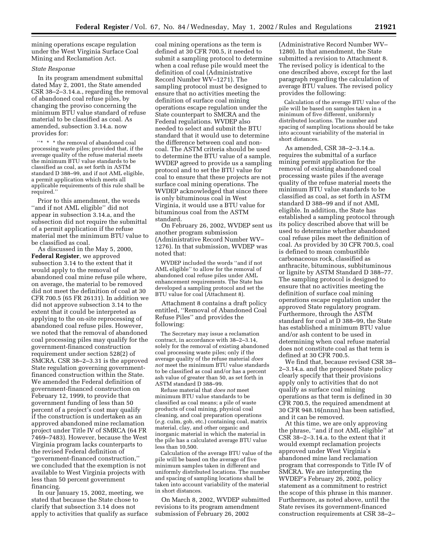mining operations escape regulation under the West Virginia Surface Coal Mining and Reclamation Act.

# *State Response*

In its program amendment submittal dated May 2, 2001, the State amended CSR 38–2–3.14.a., regarding the removal of abandoned coal refuse piles, by changing the proviso concerning the minimum BTU value standard of refuse material to be classified as coal. As amended, subsection 3.14.a. now provides for:

 $\lq{**}$   $\lq{*}$  the removal of abandoned coal processing waste piles; provided that, if the average quality of the refuse material meets the minimum BTU value standards to be classified as coal, as set forth in ASTM standard D 388–99, and if not AML eligible, a permit application which meets all applicable requirements of this rule shall be required.''

Prior to this amendment, the words ''and if not AML eligible'' did not appear in subsection 3.14.a, and the subsection did not require the submittal of a permit application if the refuse material met the minimum BTU value to be classified as coal.

As discussed in the May 5, 2000, **Federal Register**, we approved subsection 3.14 to the extent that it would apply to the removal of abandoned coal mine refuse pile where, on average, the material to be removed did not meet the definition of coal at 30 CFR 700.5 (65 FR 26131). In addition we did not approve subsection 3.14 to the extent that it could be interpreted as applying to the on-site reprocessing of abandoned coal refuse piles. However, we noted that the removal of abandoned coal processing piles may qualify for the government-financed construction requirement under section 528(2) of SMCRA. CSR 38–2–3.31 is the approved State regulation governing governmentfinanced construction within the State. We amended the Federal definition of government-financed construction on February 12, 1999, to provide that government funding of less than 50 percent of a project's cost may qualify if the construction is undertaken as an approved abandoned mine reclamation project under Title IV of SMRCA (64 FR 7469–7483). However, because the West Virginia program lacks counterparts to the revised Federal definition of ''government-financed construction,'' we concluded that the exemption is not available to West Virginia projects with less than 50 percent government financing.

In our January 15, 2002, meeting, we stated that because the State chose to clarify that subsection 3.14 does not apply to activities that qualify as surface

coal mining operations as the term is defined at 30 CFR 700.5, it needed to submit a sampling protocol to determine when a coal refuse pile would meet the definition of coal (Administrative Record Number WV–1271). The sampling protocol must be designed to ensure that no activities meeting the definition of surface coal mining operations escape regulation under the State counterpart to SMCRA and the Federal regulations. WVDEP also needed to select and submit the BTU standard that it would use to determine the difference between coal and noncoal. The ASTM criteria should be used to determine the BTU value of a sample. WVDEP agreed to provide us a sampling protocol and to set the BTU value for coal to ensure that these projects are not surface coal mining operations. The WVDEP acknowledged that since there is only bituminous coal in West Virginia, it would use a BTU value for bituminous coal from the ASTM standard.

On February 26, 2002, WVDEP sent us another program submission (Administrative Record Number WV– 1276). In that submission, WVDEP was noted that:

WVDEP included the words ''and if not AML eligible'' to allow for the removal of abandoned coal refuse piles under AML enhancement requirements. The State has developed a sampling protocol and set the BTU value for coal (Attachment 8).

Attachment 8 contains a draft policy entitled, ''Removal of Abandoned Coal Refuse Piles'' and provides the following:

The Secretary may issue a reclamation contract, in accordance with 38–2–3.14, solely for the removal of existing abandoned coal processing waste piles; only if the average quality of the refuse material *does not* meet the minimum BTU value standards to be classified as coal and/or has a percent ash value of greater than 50, as set forth in ASTM standard D 388–99.

Refuse material that *does not* meet minimum BTU value standards to be classified as coal means; a pile of waste products of coal mining, physical coal cleaning, and coal preparation operations (*e.g.* culm, gob, etc.) containing coal, matrix material, clay, and other organic and inorganic material in which the material in the pile has a calculated average BTU value less than 10,500.

Calculation of the average BTU value of the pile will be based on the average of five minimum samples taken in different and uniformly distributed locations. The number and spacing of sampling locations shall be taken into account variability of the material in short distances.

On March 8, 2002, WVDEP submitted revisions to its program amendment submission of February 26, 2002

(Administrative Record Number WV– 1280). In that amendment, the State submitted a revision to Attachment 8. The revised policy is identical to the one described above, except for the last paragraph regarding the calculation of average BTU values. The revised policy provides the following:

Calculation of the average BTU value of the pile will be based on samples taken in a minimum of five different, uniformly distributed locations. The number and spacing of sampling locations should be take into account variability of the material in short distances.

As amended, CSR 38–2–3.14.a. requires the submittal of a surface mining permit application for the removal of existing abandoned coal processing waste piles if the average quality of the refuse material meets the minimum BTU value standards to be classified as coal, as set forth in ASTM standard D 388–99 and if not AML eligible. In addition, the State has established a sampling protocol through its policy described above that will be used to determine whether abandoned coal refuse piles meet the definition of coal. As provided by 30 CFR 700.5, coal is defined to mean combustible carbonaceous rock, classified as anthracite, bituminous, subbituminous or lignite by ASTM Standard D 388–77. The sampling protocol is designed to ensure that no activities meeting the definition of surface coal mining operations escape regulation under the approved State regulatory program. Furthermore, through the ASTM standard for coal at D 388–99, the State has established a minimum BTU value and/or ash content to be used in determining when coal refuse material does not constitute coal as that term is defined at 30 CFR 700.5.

We find that, because revised CSR 38– 2–3.14.a. and the proposed State policy clearly specify that their provisions apply only to activities that do not qualify as surface coal mining operations as that term is defined in 30 CFR 700.5, the required amendment at 30 CFR 948.16(nnnn) has been satisfied, and it can be removed.

At this time, we are only approving the phrase, ''and if not AML eligible'' at CSR 38–2–3.14.a. to the extent that it would exempt reclamation projects approved under West Virginia's abandoned mine land reclamation program that corresponds to Title IV of SMCRA. We are interpreting the WVDEP's February 26, 2002, policy statement as a commitment to restrict the scope of this phrase in this manner. Furthermore, as noted above, until the State revises its government-financed construction requirements at CSR 38–2–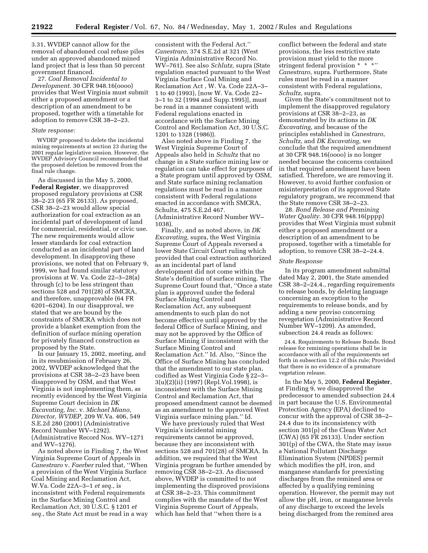3.31, WVDEP cannot allow for the removal of abandoned coal refuse piles under an approved abandoned mined land project that is less than 50 percent government financed.

27. *Coal Removal Incidental to Development.* 30 CFR 948.16(oooo) provides that West Virginia must submit either a proposed amendment or a description of an amendment to be proposed, together with a timetable for adoption to remove CSR 38–2–23.

#### *State response:*

WVDEP proposed to delete the incidental mining requirements at section 23 during the 2001 regular legislative session. However, the WVDEP Advisory Council recommended that the proposed deletion be removed from the final rule change.

As discussed in the May 5, 2000, **Federal Register**, we disapproved proposed regulatory provisions at CSR 38–2-23 (65 FR 26133). As proposed, CSR 38–2–23 would allow special authorization for coal extraction as an incidental part of development of land for commercial, residential, or civic use. The new requirements would allow lesser standards for coal extraction conducted as an incidental part of land development. In disapproving these provisions, we noted that on February 9, 1999, we had found similar statutory provisions at W. Va. Code 22–3–28(a) through (c) to be less stringent than sections 528 and 701(28) of SMCRA, and therefore, unapprovable (64 FR 6201–6204). In our disapproval, we stated that we are bound by the constraints of SMCRA which does not provide a blanket exemption from the definition of surface mining operation for privately financed construction as proposed by the State.

In our January 15, 2002, meeting, and in its resubmission of February 26, 2002, WVDEP acknowledged that the provisions at CSR 38–2–23 have been disapproved by OSM, and that West Virginia is not implementing them, as recently evidenced by the West Virginia Supreme Court decision in *DK Excavating, Inc.* v. *Michael Miano, Director, WVDEP,* 209 W.Va. 406, 549 S.E.2d 280 (2001) (Administrative Record Number WV–1292). (Administrative Record Nos. WV–1271 and WV–1276).

As noted above in Finding 7, the West Virginia Supreme Court of Appeals in *Canestraro* v. *Faerber* ruled that, ''When a provision of the West Virginia Surface Coal Mining and Reclamation Act, W.Va. Code 22A–3–1 *et seq.*, is inconsistent with Federal requirements in the Surface Mining Control and Reclamation Act, 30 U.S.C. § 1201 *et seq.*, the State Act must be read in a way

consistent with the Federal Act.'' *Canestraro,* 374 S.E.2d at 321 (West Virginia Administrative Record No. WV–761). See also *Schlutz,* supra (State regulation enacted pursuant to the West Virginia Surface Coal Mining and Reclamation Act , W. Va. Code 22A–3– 1 to 40 (1993), [now W. Va. Code 22– 3–1 to 32 (1994 and Supp.1995)], must be read in a manner consistent with Federal regulations enacted in accordance with the Surface Mining Control and Reclamation Act, 30 U.S.C. 1201 to 1328 (1986)).

Also noted above in Finding 7, the West Virginia Supreme Court of Appeals also held in *Schultz* that no change in a State surface mining law or regulation can take effect for purposes of a State program until approved by OSM, and State surface mining reclamation regulations must be read in a manner consistent with Federal regulations enacted in accordance with SMCRA, Schultz, 475 S.E.2d 467. (Administrative Record Number WV– 1038).

Finally, and as noted above, in *DK Excavating,* supra, the West Virginia Supreme Court of Appeals reversed a lower State Circuit Court ruling which provided that coal extraction authorized as an incidental part of land development did not come within the State's definition of surface mining. The Supreme Court found that, ''Once a state plan is approved under the federal Surface Mining Control and Reclamation Act, any subsequent amendments to such plan do not become effective until approved by the federal Office of Surface Mining, and may not be approved by the Office of Surface Mining if inconsistent with the Surface Mining Control and Reclamation Act.'' Id. Also, ''Since the Office of Surface Mining has concluded that the amendment to our state plan, codified as West Virginia Code § 22–3– 3(u)(2)(ii) (1997) (Repl.Vol.1998), is inconsistent with the Surface Mining Control and Reclamation Act, that proposed amendment cannot be deemed as an amendment to the approved West Virginia surface mining plan.'' Id.

We have previously ruled that West Virginia's incidental mining requirements cannot be approved, because they are inconsistent with sections 528 and 701(28) of SMCRA. In addition, we required that the West Virginia program be further amended by removing CSR 38–2–23. As discussed above, WVDEP is committed to not implementing the disproved provisions at CSR 38–2–23. This commitment complies with the mandate of the West Virginia Supreme Court of Appeals, which has held that ''when there is a

conflict between the federal and state provisions, the less restrictive state provision must yield to the more stringent federal provision \* \* \*'' *Canestraro,* supra. Furthermore, State rules must be read in a manner consistent with Federal regulations, *Schultz,* supra.

Given the State's commitment not to implement the disapproved regulatory provisions at CSR 38–2–23, as demonstrated by its actions in *DK Excavating*, and because of the principles established in *Canestraro*, *Schultz*, and *DK Excavating*, we conclude that the required amendment at 30 CFR 948.16(oooo) is no longer needed because the concerns contained in that required amendment have been satisfied. Therefore, we are removing it. However, to avoid further confusion or misinterpretation of its approved State regulatory program, we recommend that the State remove CSR 38–2–23.

28. *Bond Release and Premining Water Quality.* 30 CFR 948.16(pppp) provides that West Virginia must submit either a proposed amendment or a description of an amendment to be proposed, together with a timetable for adoption, to remove CSR 38–2–24.4.

#### *State Response*

In its program amendment submittal dated May 2, 2001, the State amended CSR 38–2–24.4., regarding requirements to release bonds, by deleting language concerning an exception to the requirements to release bonds, and by adding a new proviso concerning revegetation (Administrative Record Number WV–1209). As amended, subsection 24.4 reads as follows:

24.4. Requirements to Release Bonds. Bond release for remining operations shall be in accordance with all of the requirements set forth in subsection 12.2 of this rule; Provided that there is no evidence of a premature vegetation release.

In the May 5, 2000, **Federal Register**, at Finding 9, we disapproved the predecessor to amended subsection 24.4 in part because the U.S. Environmental Protection Agency (EPA) declined to concur with the approval of CSR 38–2– 24.4 due to its inconsistency with section 301(p) of the Clean Water Act (CWA) (65 FR 26133). Under section 301(p) of the CWA, the State may issue a National Pollutant Discharge Elimination System (NPDES) permit which modifies the pH, iron, and manganese standards for preexisting discharges from the remined area or affected by a qualifying remining operation. However, the permit may not allow the pH, iron, or manganese levels of any discharge to exceed the levels being discharged from the remined area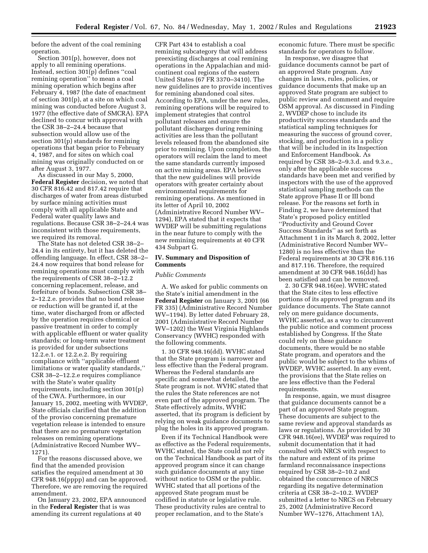before the advent of the coal remining operation.

Section 301(p), however, does not apply to all remining operations. Instead, section 301(p) defines ''coal remining operation'' to mean a coal mining operation which begins after February 4, 1987 (the date of enactment of section 301(p), at a site on which coal mining was conducted before August 3, 1977 (the effective date of SMCRA). EPA declined to concur with approval with the CSR 38–2–24.4 because that subsection would allow use of the section 301(p) standards for remining operations that began prior to February 4, 1987, and for sites on which coal mining was originally conducted on or after August 3, 1977.

As discussed in our May 5, 2000, **Federal Register** decision, we noted that 30 CFR 816.42 and 817.42 require that discharges of water from areas disturbed by surface mining activities must comply with all applicable State and Federal water quality laws and regulations. Because CSR 38–2–24.4 was inconsistent with those requirements, we required its removal.

The State has not deleted CSR 38–2– 24.4 in its entirety, but it has deleted the offending language. In effect, CSR 38–2– 24.4 now requires that bond release for remining operations must comply with the requirements of CSR 38–2–12.2 concerning replacement, release, and forfeiture of bonds. Subsection CSR 38– 2–12.2.e. provides that no bond release or reduction will be granted if, at the time, water discharged from or affected by the operation requires chemical or passive treatment in order to comply with applicable effluent or water quality standards; or long-term water treatment is provided for under subsections 12.2.e.1. or 12.2.e.2. By requiring compliance with ''applicable effluent limitations or water quality standards,'' CSR 38–2–12.2.e requires compliance with the State's water quality requirements, including section 301(p) of the CWA. Furthermore, in our January 15, 2002, meeting with WVDEP, State officials clarified that the addition of the proviso concerning premature vegetation release is intended to ensure that there are no premature vegetation releases on remining operations (Administrative Record Number WV– 1271).

For the reasons discussed above, we find that the amended provision satisfies the required amendment at 30 CFR 948.16(pppp) and can be approved. Therefore, we are removing the required amendment.

On January 23, 2002, EPA announced in the **Federal Register** that is was amending its current regulations at 40

CFR Part 434 to establish a coal remining subcategory that will address preexisting discharges at coal remining operations in the Appalachian and midcontinent coal regions of the eastern United States (67 FR 3370–3410). The new guidelines are to provide incentives for remining abandoned coal sites. According to EPA, under the new rules, remining operations will be required to implement strategies that control pollutant releases and ensure the pollutant discharges during remining activities are less than the pollutant levels released from the abandoned site prior to remining. Upon completion, the operators will reclaim the land to meet the same standards currently imposed on active mining areas. EPA believes that the new guidelines will provide operators with greater certainty about environmental requirements for remining operations. As mentioned in its letter of April 10, 2002 (Administrative Record Number WV– 1294), EPA stated that it expects that WVDEP will be submitting regulations in the near future to comply with the new remining requirements at 40 CFR 434 Subpart G.

# **IV. Summary and Disposition of Comments**

#### *Public Comments*

A. We asked for public comments on the State's initial amendment in the **Federal Register** on January 3, 2001 (66 FR 335) (Administrative Record Number WV–1194). By letter dated February 28, 2001 (Administrative Record Number WV–1202) the West Virginia Highlands Conservancy (WVHC) responded with the following comments.

1. 30 CFR 948.16(dd). WVHC stated that the State program is narrower and less effective than the Federal program. Whereas the Federal standards are specific and somewhat detailed, the State program is not. WVHC stated that the rules the State references are not even part of the approved program. The State effectively admits, WVHC asserted, that its program is deficient by relying on weak guidance documents to plug the holes in its approved program.

Even if its Technical Handbook were as effective as the Federal requirements, WVHC stated, the State could not rely on the Technical Handbook as part of its approved program since it can change such guidance documents at any time without notice to OSM or the public. WVHC stated that all portions of the approved State program must be codified in statute or legislative rule. These productivity rules are central to proper reclamation, and to the State's

economic future. There must be specific standards for operators to follow.

In response, we disagree that guidance documents cannot be part of an approved State program. Any changes in laws, rules, policies, or guidance documents that make up an approved State program are subject to public review and comment and require OSM approval. As discussed in Finding 2, WVDEP chose to include its productivity success standards and the statistical sampling techniques for measuring the success of ground cover, stocking, and production in a policy that will be included in its Inspection and Enforcement Handbook. As required by CSR 38–2–9.3.d. and 9.3.e., only after the applicable success standards have been met and verified by inspectors with the use of the approved statistical sampling methods can the State approve Phase II or III bond release. For the reasons set forth in Finding 2, we have determined that State's proposed policy entitled ''Productivity and Ground Cover Success Standards'' as set forth as Attachment 1 in its March 8, 2002, letter (Administrative Record Number WV– 1280) is no less effective than the Federal requirements at 30 CFR 816.116 and 817.116. Therefore, the required amendment at 30 CFR 948.16(dd) has been satisfied and can be removed.

2. 30 CFR 948.16(ee). WVHC stated that the State cites to less effective portions of its approved program and its guidance documents. The State cannot rely on mere guidance documents, WVHC asserted, as a way to circumvent the public notice and comment process established by Congress. If the State could rely on these guidance documents, there would be no stable State program, and operators and the public would be subject to the whims of WVDEP, WVHC asserted. In any event, the provisions that the State relies on are less effective than the Federal requirements.

In response, again, we must disagree that guidance documents cannot be a part of an approved State program. These documents are subject to the same review and approval standards as laws or regulations. As provided by 30 CFR 948.16(ee), WVDEP was required to submit documentation that it had consulted with NRCS with respect to the nature and extent of its prime farmland reconnaissance inspections required by CSR 38–2–10.2 and obtained the concurrence of NRCS regarding its negative determination criteria at CSR 38–2–10.2. WVDEP submitted a letter to NRCS on February 25, 2002 (Administrative Record Number WV–1276, Attachment 1A),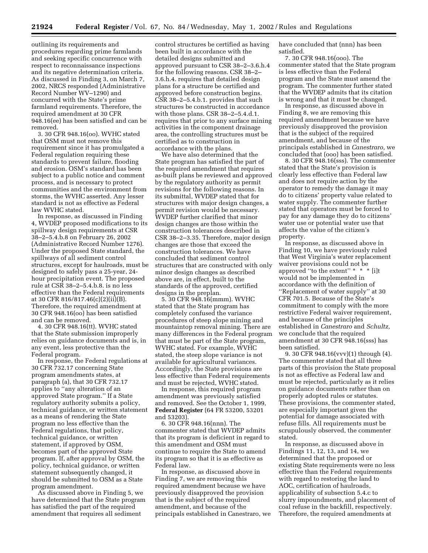outlining its requirements and procedures regarding prime farmlands and seeking specific concurrence with respect to reconnaissance inspections and its negative determination criteria. As discussed in Finding 3, on March 7, 2002, NRCS responded (Administrative Record Number WV–1290) and concurred with the State's prime farmland requirements. Therefore, the required amendment at 30 CFR 948.16(ee) has been satisfied and can be removed.

3. 30 CFR 948.16(oo). WVHC stated that OSM must not remove this requirement since it has promulgated a Federal regulation requiring these standards to prevent failure, flooding and erosion. OSM's standard has been subject to a public notice and comment process, and is necessary to protect communities and the environment from storms, the WVHC asserted. Any lesser standard is not as effective as Federal law WVHC stated.

In response, as discussed in Finding 4, WVDEP proposed modifications to its spillway design requirements at CSR 38–2–5.4.b.8 on February 26, 2002 (Administrative Record Number 1276). Under the proposed State standard, the spillways of all sediment control structures, except for haulroads, must be designed to safely pass a 25-year, 24 hour precipitation event. The proposed rule at CSR 38–2–5.4.b.8. is no less effective than the Federal requirements at 30 CFR 816/817.46(c)(2)(ii)(B). Therefore, the required amendment at 30 CFR 948.16(oo) has been satisfied and can be removed.

4. 30 CFR 948.16(tt). WVHC stated that the State submission improperly relies on guidance documents and is, in any event, less protective than the Federal program.

In response, the Federal regulations at 30 CFR 732.17 concerning State program amendments states, at paragraph (a), that 30 CFR 732.17 applies to ''any alteration of an approved State program.'' If a State regulatory authority submits a policy, technical guidance, or written statement as a means of rendering the State program no less effective than the Federal regulations, that policy, technical guidance, or written statement, if approved by OSM, becomes part of the approved State program. If, after approval by OSM, the policy, technical guidance, or written statement subsequently changed, it should be submitted to OSM as a State program amendment.

As discussed above in Finding 5, we have determined that the State program has satisfied the part of the required amendment that requires all sediment

control structures be certified as having been built in accordance with the detailed designs submitted and approved pursuant to CSR 38–2–3.6.h.4 for the following reasons. CSR 38–2– 3.6.h.4. requires that detailed design plans for a structure be certified and approved before construction begins. CSR 38–2–5.4.b.1. provides that such structures be constructed in accordance with those plans. CSR 38–2–5.4.d.1. requires that prior to any surface mining activities in the component drainage area, the controlling structures must be certified as to construction in accordance with the plans.

We have also determined that the State program has satisfied the part of the required amendment that requires as-built plans be reviewed and approved by the regulatory authority as permit revisions for the following reasons. In its submittal, WVDEP stated that for structures with major design changes, a permit revision would be necessary. WVDEP further clarified that minor design changes are those within the construction tolerances described in CSR 38–2–3.35. Therefore, major design changes are those that exceed the construction tolerances. We have concluded that sediment control structures that are constructed with only minor design changes as described above are, in effect, built to the standards of the approved, certified designs in the preplan.

5. 30 CFR 948.16(mmm). WVHC stated that the State program has completely confused the variance procedures of steep slope mining and mountaintop removal mining. There are many differences in the Federal program that must be part of the State program, WVHC stated. For example, WVHC stated, the steep slope variance is not available for agricultural variances. Accordingly, the State provisions are less effective than Federal requirements and must be rejected, WVHC stated.

In response, this required program amendment was previously satisfied and removed. See the October 1, 1999, **Federal Register** (64 FR 53200, 53201 and 53203).

6. 30 CFR 948.16(nnn). The commenter stated that WVDEP admits that its program is deficient in regard to this amendment and OSM must continue to require the State to amend its program so that it is as effective as Federal law.

In response, as discussed above in Finding 7, we are removing this required amendment because we have previously disapproved the provision that is the subject of the required amendment, and because of the principals established in Canestraro, we have concluded that (nnn) has been satisfied.

7. 30 CFR 948.16(ooo). The commenter stated that the State program is less effective than the Federal program and the State must amend the program. The commenter further stated that the WVDEP admits that its citation is wrong and that it must be changed.

In response, as discussed above in Finding 8, we are removing this required amendment because we have previously disapproved the provision that is the subject of the required amendment, and because of the principals established in *Canestraro,* we concluded that (ooo) has been satisfied.

8. 30 CFR 948.16(sss). The commenter stated that the State's provision is clearly less effective than Federal law and does not require action by the operator to remedy the damage it may do to citizens' property value related to water supply. The commenter further stated that operators must be forced to pay for any damage they do to citizens' water use or potential water use that affects the value of the citizen's property.

In response, as discussed above in Finding 10, we have previously ruled that West Virginia's water replacement waiver provisions could not be approved ''to the extent'' \* \* \* [i]t would not be implemented in accordance with the definition of ''Replacement of water supply'' at 30 CFR 701.5. Because of the State's commitment to comply with the more restrictive Federal waiver requirement, and because of the principles established in *Canestraro* and *Schultz,* we conclude that the required amendment at 30 CFR 948.16(sss) has been satisfied.

9. 30 CFR 948.16(vvv)(1) through (4). The commenter stated that all three parts of this provision the State proposal is not as effective as Federal law and must be rejected, particularly as it relies on guidance documents rather than on properly adopted rules or statutes. These provisions, the commenter stated, are especially important given the potential for damage associated with refuse fills. All requirements must be scrupulously observed, the commenter stated.

In response, as discussed above in Findings 11, 12, 13, and 14, we determined that the proposed or existing State requirements were no less effective than the Federal requirements with regard to restoring the land to AOC, certification of haulroads, applicability of subsection 5.4.c to slurry impoundments, and placement of coal refuse in the backfill, respectively. Therefore, the required amendments at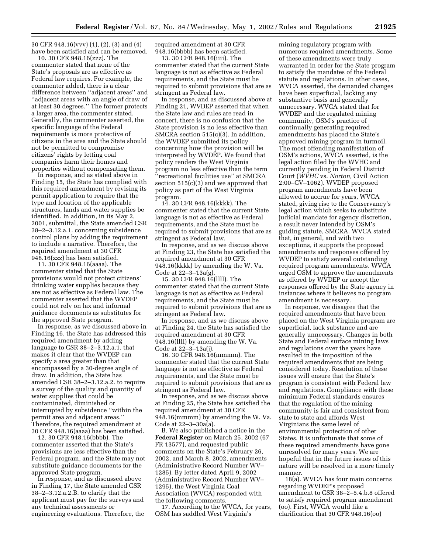30 CFR 948.16(vvv) (1), (2), (3) and (4) have been satisfied and can be removed.

10. 30 CFR 948.16(zzz). The commenter stated that none of the State's proposals are as effective as Federal law requires. For example, the commenter added, there is a clear difference between ''adjacent areas'' and ''adjacent areas with an angle of draw of at least 30 degrees.'' The former protects a larger area, the commenter stated. Generally, the commenter asserted, the specific language of the Federal requirements is more protective of citizens in the area and the State should not be permitted to compromise citizens' rights by letting coal companies harm their homes and properties without compensating them.

In response, and as stated above in Finding 15, the State has complied with this required amendment by revising its permit application to require that the type and location of the applicable structures, lands and water supplies be identified. In addition, in its May 2, 2001, submittal, the State amended CSR 38–2–3.12.a.1. concerning subsidence control plans by adding the requirement to include a narrative. Therefore, the required amendment at 30 CFR 948.16(zzz) has been satisfied.

11. 30 CFR 948.16(aaaa). The commenter stated that the State provisions would not protect citizens' drinking water supplies because they are not as effective as Federal law. The commenter asserted that the WVDEP could not rely on lax and informal guidance documents as substitutes for the approved State program.

In response, as we discussed above in Finding 16, the State has addressed this required amendment by adding language to CSR 38–2–3.12.a.1. that makes it clear that the WVDEP can specify a area greater than that encompassed by a 30-degree angle of draw. In addition, the State has amended CSR 38–2–3.12.a.2. to require a survey of the quality and quantity of water supplies that could be contaminated, diminished or interrupted by subsidence ''within the permit area and adjacent areas.'' Therefore, the required amendment at 30 CFR 948.16(aaaa) has been satisfied.

12. 30 CFR 948.16(bbbb). The commenter asserted that the State's provisions are less effective than the Federal program, and the State may not substitute guidance documents for the approved State program.

In response, and as discussed above in Finding 17, the State amended CSR 38–2–3.12.a.2.B. to clarify that the applicant must pay for the surveys and any technical assessments or engineering evaluations. Therefore, the required amendment at 30 CFR 948.16(bbbb) has been satisfied.

13. 30 CFR 948.16(iiii). The commenter stated that the current State language is not as effective as Federal requirements, and the State must be required to submit provisions that are as stringent as Federal law.

In response, and as discussed above at Finding 21, WVDEP asserted that when the State law and rules are read in concert, there is no confusion that the State provision is no less effective than SMCRA section 515(c)(3). In addition, the WVDEP submitted its policy concerning how the provision will be interpreted by WVDEP. We found that policy renders the West Virginia program no less effective than the term ''recreational facilities use'' at SMCRA section 515(c)(3) and we approved that policy as part of the West Virginia program.

14. 30 CFR 948.16(kkkk). The commenter stated that the current State language is not as effective as Federal requirements, and the State must be required to submit provisions that are as stringent as Federal law.

In response, and as we discuss above at Finding 23, the State has satisfied the required amendment at 30 CFR 948.16(kkkk) by amending the W. Va. Code at 22–3–13a(g).

15. 30 CFR 948.16(llll). The commenter stated that the current State language is not as effective as Federal requirements, and the State must be required to submit provisions that are as stringent as Federal law.

In response, and as we discuss above at Finding 24, the State has satisfied the required amendment at 30 CFR 948.16(llll) by amending the W. Va. Code at 22–3–13a(j).

16. 30 CFR 948.16(mmmm). The commenter stated that the current State language is not as effective as Federal requirements, and the State must be required to submit provisions that are as stringent as Federal law.

In response, and as we discuss above at Finding 25, the State has satisfied the required amendment at 30 CFR 948.16(mmmm) by amending the W. Va. Code at 22–3–30a(a).

B. We also published a notice in the **Federal Register** on March 25, 2002 (67 FR 13577), and requested public comments on the State's February 26, 2002, and March 8, 2002, amendments (Administrative Record Number WV– 1285). By letter dated April 9, 2002 (Administrative Record Number WV– 1295), the West Virginia Coal Association (WVCA) responded with the following comments.

17. According to the WVCA, for years, OSM has saddled West Virginia's

mining regulatory program with numerous required amendments. Some of these amendments were truly warranted in order for the State program to satisfy the mandates of the Federal statute and regulations. In other cases, WVCA asserted, the demanded changes have been superficial, lacking any substantive basis and generally unnecessary. WVCA stated that for WVDEP and the regulated mining community, OSM's practice of continually generating required amendments has placed the State's approved mining program in turmoil. The most offending manifestation of OSM's actions, WVCA asserted, is the legal action filed by the WVHC and currently pending in Federal District Court (*WVHC* vs. *Norton,* Civil Action 2:00–CV–1062). WVDEP proposed program amendments have been allowed to accrue for years, WVCA stated, giving rise to the Conservancy's legal action which seeks to substitute judicial mandate for agency discretion, a result never intended by OSM's guiding statute, SMCRA. WVCA stated that, in general, and with two exceptions, it supports the proposed amendments and responses offered by WVDEP to satisfy several outstanding required program amendments. WVCA urged OSM to approve the amendments as offered by WVDEP or accept the responses offered by the State agency in instances where it believes no program amendment is necessary.

In response, we disagree that the required amendments that have been placed on the West Virginia program are superficial, lack substance and are generally unnecessary. Changes in both State and Federal surface mining laws and regulations over the years have resulted in the imposition of the required amendments that are being considered today. Resolution of these issues will ensure that the State's program is consistent with Federal law and regulations. Compliance with these minimum Federal standards ensures that the regulation of the mining community is fair and consistent from state to state and affords West Virginians the same level of environmental protection of other States. It is unfortunate that some of these required amendments have gone unresolved for many years. We are hopeful that in the future issues of this nature will be resolved in a more timely manner.

18(a). WVCA has four main concerns regarding WVDEP's proposed amendment to CSR 38–2–5.4.b.8 offered to satisfy required program amendment (oo). First, WVCA would like a clarification that 30 CFR 948.16(oo)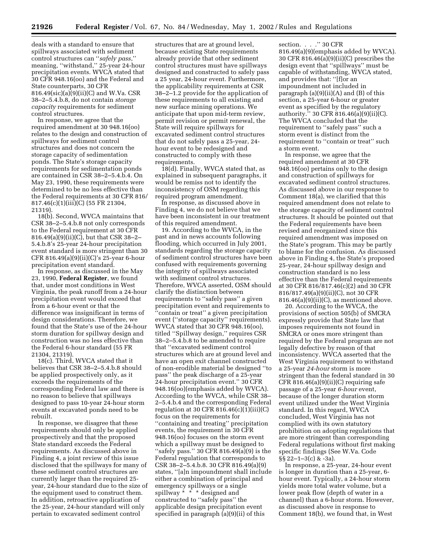deals with a standard to ensure that spillways associated with sediment control structures can ''*safely pass*,'' meaning, ''withstand,'' 25-year 24-hour precipitation events. WVCA stated that 30 CFR 948.16(oo) and the Federal and State counterparts, 30 CFR 816.49(sic)(a)(9)(ii)(C) and W.Va. CSR 38–2–5.4.b.8, do not contain *storage capacity* requirements for sediment control structures.

In response, we agree that the required amendment at 30 948.16(oo) relates to the design and construction of spillways for sediment control structures and does not concern the storage capacity of sedimentation ponds. The State's storage capacity requirements for sedimentation ponds are contained in CSR 38–2–5.4.b.4. On May 23, 1990, these requirements were determined to be no less effective than the Federal requirements at 30 CFR 816/ 817.46(c)(1)(iii)(C) (55 FR 21304, 21319).

18(b). Second, WVCA maintains that CSR 38–2–5.4.b.8 not only corresponds to the Federal requirement at 30 CFR 816.49(a)(9)(ii)(C), but that CSR 38–2– 5.4.b.8's 25-year 24-hour precipitation event standard is more stringent than 30 CFR 816.49(a)(9)(ii)(C)'s 25-year 6-hour precipitation event standard.

In response, as discussed in the May 23, 1990, **Federal Register**, we found that, under most conditions in West Virginia, the peak runoff from a 24-hour precipitation event would exceed that from a 6-hour event or that the difference was insignificant in terms of design considerations. Therefore, we found that the State's use of the 24-hour storm duration for spillway design and construction was no less effective than the Federal 6-hour standard (55 FR 21304, 21319).

18(c). Third, WVCA stated that it believes that CSR 38–2–5.4.b.8 should be applied prospectively only, as it exceeds the requirements of the corresponding Federal law and there is no reason to believe that spillways designed to pass 10-year 24-hour storm events at excavated ponds need to be rebuilt.

In response, we disagree that these requirements should only be applied prospectively and that the proposed State standard exceeds the Federal requirements. As discussed above in Finding 4, a joint review of this issue disclosed that the spillways for many of these sediment control structures are currently larger than the required 25 year, 24-hour standard due to the size of the equipment used to construct them. In addition, retroactive application of the 25-year, 24-hour standard will only pertain to excavated sediment control

structures that are at ground level, because existing State requirements already provide that other sediment control structures must have spillways designed and constructed to safely pass a 25 year, 24-hour event. Furthermore, the applicability requirements at CSR 38–2–1.2 provide for the application of these requirements to all existing and new surface mining operations. We anticipate that upon mid-term review, permit revision or permit renewal, the State will require spillways for excavated sediment control structures that do not safely pass a 25-year, 24 hour event to be redesigned and constructed to comply with these requirements.

18(d). Finally, WVCA stated that, as explained in subsequent paragraphs, it would be remiss not to identify the inconsistency of OSM regarding this required program amendment.

In response, as discussed above in Finding 4, we do not believe that we have been inconsistent in our treatment of this required amendment.

19. According to the WVCA, in the past and in news accounts following flooding, which occurred in July 2001, standards regarding the storage capacity of sediment control structures have been confused with requirements governing the integrity of spillways associated with sediment control structures. Therefore, WVCA asserted, OSM should clarify the distinction between requirements to ''safely pass'' a given precipitation event and requirements to ''contain or treat'' a given precipitation event ("storage capacity" requirements). WVCA stated that 30 CFR 948.16(oo), titled ''Spillway design,'' requires CSR 38–2–5.4.b.8 to be amended to require that ''excavated sediment control structures which are at ground level and have an open exit channel constructed of non-erodible material be designed ''to pass'' the peak discharge of a 25-year 24-hour precipitation event.'' 30 CFR 948.16(oo)(emphasis added by WVCA). According to the WVCA, while CSR 38– 2–5.4.b.4 and the corresponding Federal regulation at 30 CFR  $816.46(c)(1)(iii)(C)$ focus on the requirements for ''containing and treating'' precipitation events, the requirement in 30 CFR 948.16(oo) focuses on the storm event which a spillway must be designed to ''safely pass.'' 30 CFR 816.49(a)(9) is the Federal regulation that corresponds to CSR 38–2–5.4.b.8. 30 CFR 816.49(a)(9) states, ''[a]n impoundment shall include either a combination of principal and emergency spillways or a single spillway \* \* \* designed and constructed to ''safely pass'' the applicable design precipitation event specified in paragraph (a)(9)(ii) of this

section....'' 30 CFR 816.49(a)(9)(emphasis added by WVCA). 30 CFR 816.46(a)(9)(ii)(C) prescribes the design event that ''spillways'' must be capable of withstanding, WVCA stated, and provides that: ''[f]or an impoundment not included in paragraph (a)(9)(ii)(A) and (B) of this section, a 25-year 6-hour or greater event as specified by the regulatory authority.'' 30 CFR 816.46(a)(9)(ii)(C). The WVCA concluded that the requirement to ''safely pass'' such a storm event is distinct from the requirement to ''contain or treat'' such a storm event.

In response, we agree that the required amendment at 30 CFR 948.16(oo) pertains only to the design and construction of spillways for excavated sediment control structures. As discussed above in our response to Comment 18(a), we clarified that this required amendment does not relate to the storage capacity of sediment control structures. It should be pointed out that the Federal requirements have been revised and reorganized since this required amendment was imposed on the State's program. This may be partly to blame for the confusion. As discussed above in Finding 4, the State's proposed 25-year, 24-hour spillway design and construction standard is no less effective than the Federal requirements at 30 CFR 816/817.46(c)(2) and 30 CFR 816/817.49(a)(9)(ii)(C), not 30 CFR  $816.46(a)(9)(ii)(C)$ , as mentioned above.

20. According to the WVCA, the provisions of section 505(b) of SMCRA expressly provide that State law that imposes requirements not found in SMCRA or ones more stringent than required by the Federal program are not legally defective by reason of that inconsistency. WVCA asserted that the West Virginia requirement to withstand a 25-year *24-hour* storm is more stringent than the federal standard in 30 CFR  $816.46(a)(9)(ii)(C)$  requiring safe passage of a 25-year *6-hour* event, because of the longer duration storm event utilized under the West Virginia standard. In this regard, WVCA concluded, West Virginia has not complied with its own statutory prohibition on adopting regulations that are more stringent than corresponding Federal regulations without first making specific findings (See W.Va. Code §§ 22–1–3(c) & -3a).

In response, a 25-year, 24-hour event is longer in duration than a 25-year, 6 hour event. Typically, a 24-hour storm yields more total water volume, but a lower peak flow (depth of water in a channel) than a 6-hour storm. However, as discussed above in response to Comment 18(b), we found that, in West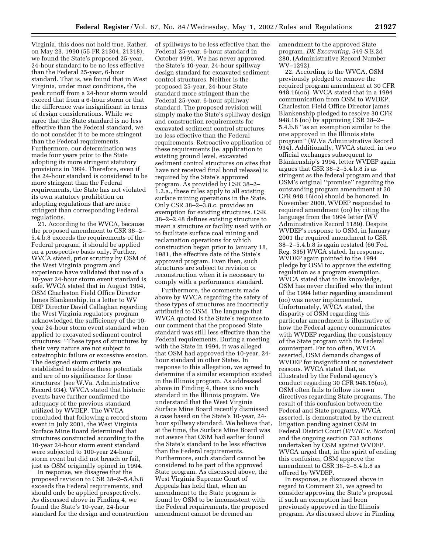Virginia, this does not hold true. Rather, on May 23, 1990 (55 FR 21304, 21318), we found the State's proposed 25-year, 24-hour standard to be no less effective than the Federal 25-year, 6-hour standard. That is, we found that in West Virginia, under most conditions, the peak runoff from a 24-hour storm would exceed that from a 6-hour storm or that the difference was insignificant in terms of design considerations. While we agree that the State standard is no less effective than the Federal standard, we do not consider it to be more stringent than the Federal requirements. Furthermore, our determination was made four years prior to the State adopting its more stringent statutory provisions in 1994. Therefore, even if the 24-hour standard is considered to be more stringent than the Federal requirements, the State has not violated its own statutory prohibition on adopting regulations that are more stringent than corresponding Federal regulations.

21. According to the WVCA, because the proposed amendment to CSR 38–2– 5.4.b.8 exceeds the requirements of the Federal program, it should be applied on a prospective basis only. Further, WVCA stated, prior scrutiny by OSM of the West Virginia program and experience have validated that use of a 10-year 24-hour storm event standard is safe. WVCA stated that in August 1994, OSM Charleston Field Office Director James Blankenship, in a letter to WV DEP Director David Callaghan regarding the West Virginia regulatory program acknowledged the sufficiency of the 10 year 24-hour storm event standard when applied to excavated sediment control structures: ''These types of structures by their very nature are not subject to catastrophic failure or excessive erosion. The designed storm criteria are established to address these potentials and are of no significance for these structures' (see W.Va. Administrative Record 934). WVCA stated that historic events have further confirmed the adequacy of the previous standard utilized by WVDEP. The WVCA concluded that following a record storm event in July 2001, the West Virginia Surface Mine Board determined that structures constructed according to the 10-year 24-hour storm event standard were subjected to 100-year 24-hour storm event but did not breach or fail, just as OSM originally opined in 1994.

In response, we disagree that the proposed revision to CSR 38–2–5.4.b.8 exceeds the Federal requirements, and should only be applied prospectively. As discussed above in Finding 4, we found the State's 10-year, 24-hour standard for the design and construction of spillways to be less effective than the Federal 25-year, 6-hour standard in October 1991. We has never approved the State's 10-year, 24-hour spillway design standard for excavated sediment control structures. Neither is the proposed 25-year, 24-hour State standard more stringent than the Federal 25-year, 6-hour spillway standard. The proposed revision will simply make the State's spillway design and construction requirements for excavated sediment control structures no less effective than the Federal requirements. Retroactive application of these requirements (ie. application to existing ground level, excavated sediment control structures on sites that have not received final bond release) is required by the State's approved program. As provided by CSR 38–2– 1.2.a., these rules apply to all existing surface mining operations in the State. Only CSR 38–2–3.8.c. provides an exemption for existing structures. CSR 38–2–2.48 defines existing structure to mean a structure or facility used with or to facilitate surface coal mining and reclamation operations for which construction began prior to January 18, 1981, the effective date of the State's approved program. Even then, such structures are subject to revision or reconstruction when it is necessary to comply with a performance standard.

Furthermore, the comments made above by WVCA regarding the safety of these types of structures are incorrectly attributed to OSM. The language that WVCA quoted is the State's response to our comment that the proposed State standard was still less effective than the Federal requirements. During a meeting with the State in 1994, it was alleged that OSM had approved the 10-year, 24 hour standard in other States. In response to this allegation, we agreed to determine if a similar exemption existed in the Illinois program. As addressed above in Finding 4, there is no such standard in the Illinois program. We understand that the West Virginia Surface Mine Board recently dismissed a case based on the State's 10-year, 24 hour spillway standard. We believe that, at the time, the Surface Mine Board was not aware that OSM had earlier found the State's standard to be less effective than the Federal requirements. Furthermore, such standard cannot be considered to be part of the approved State program. As discussed above, the West Virginia Supreme Court of Appeals has held that, when an amendment to the State program is found by OSM to be inconsistent with the Federal requirements, the proposed amendment cannot be deemed an

amendment to the approved State program, *DK Excavating*, 549 S.E.2d 280, (Administrative Record Number WV–1292).

22. According to the WVCA, OSM previously pledged to remove the required program amendment at 30 CFR 948.16(oo). WVCA stated that in a 1994 communication from OSM to WVDEP, Charleston Field Office Director James Blankenship pledged to resolve 30 CFR 948.16 (oo) by approving CSR 38–2– 5.4.b.8 ''as an exemption similar to the one approved in the Illinois state program'' (W.Va Administrative Record 934). Additionally, WVCA stated, in two official exchanges subsequent to Blankenship's 1994, letter WVDEP again argues that CSR 38–2–5.4.b.8 is as stringent as the federal program and that OSM's original ''promise'' regarding the outstanding program amendment at 30 CFR 948.16(oo) should be honored. In November 2000, WVDEP responded to required amendment (oo) by citing the language from the 1994 letter (WV Administrative Record 1189). Despite WVDEP's response to OSM, in January 2001 the required amendment to CSR 38–2–5.4.b.8 is again restated (66 Fed. Reg. 335) WVCA stated. In response, WVDEP again pointed to the 1994 pledge by OSM to approve the existing regulation as a program exemption. WVCA stated that to its knowledge, OSM has never clarified why the intent of the 1994 letter regarding amendment (oo) was never implemented. Unfortunately, WVCA stated, the disparity of OSM regarding this particular amendment is illustrative of how the Federal agency communicates with WVDEP regarding the consistency of the State program with its Federal counterpart. Far too often, WVCA asserted, OSM demands changes of WVDEP for insignificant or nonexistent reasons. WVCA stated that, as illustrated by the Federal agency's conduct regarding 30 CFR 948.16(oo), OSM often fails to follow its own directives regarding State programs. The result of this confusion between the Federal and State programs, WVCA asserted, is demonstrated by the current litigation pending against OSM in Federal District Court (*WVHC v. Norton*) and the ongoing section 733 actions undertaken by OSM against WVDEP. WVCA urged that, in the spirit of ending this confusion, OSM approve the amendment to CSR 38–2–5.4.b.8 as offered by WVDEP.

In response, as discussed above in regard to Comment 21, we agreed to consider approving the State's proposal if such an exemption had been previously approved in the Illinois program. As discussed above in Finding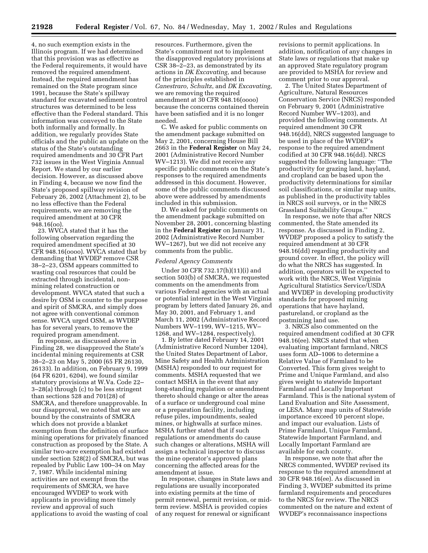4, no such exemption exists in the Illinois program. If we had determined that this provision was as effective as the Federal requirements, it would have removed the required amendment. Instead, the required amendment has remained on the State program since 1991, because the State's spillway standard for excavated sediment control structures was determined to be less effective than the Federal standard. This information was conveyed to the State both informally and formally. In addition, we regularly provides State officials and the public an update on the status of the State's outstanding required amendments and 30 CFR Part 732 issues in the West Virginia Annual Report. We stand by our earlier decision. However, as discussed above in Finding 4, because we now find the State's proposed spillway revision of February 26, 2002 (Attachment 2), to be no less effective than the Federal requirements, we are removing the required amendment at 30 CFR 948.16(oo).

23. WVCA stated that it has the following observation regarding the required amendment specified at 30 CFR 948.16(oooo). WVCA stated that by demanding that WVDEP remove CSR 38–2–23, OSM appears committed to wasting coal resources that could be extracted through incidental, nonmining related construction or development. WVCA stated that such a desire by OSM is counter to the purpose and spirit of SMCRA, and simply does not agree with conventional common sense. WVCA urged OSM, as WVDEP has for several years, to remove the required program amendment.

In response, as discussed above in Finding 28, we disapproved the State's incidental mining requirements at CSR 38–2–23 on May 5, 2000 (65 FR 26130, 26133). In addition, on February 9, 1999 (64 FR 6201, 6204), we found similar statutory provisions at W.Va. Code 22– 3–28(a) through (c) to be less stringent than sections 528 and 701(28) of SMCRA, and therefore unapprovable. In our disapproval, we noted that we are bound by the constraints of SMCRA which does not provide a blanket exemption from the definition of surface mining operations for privately financed construction as proposed by the State. A similar two-acre exemption had existed under section 528(2) of SMCRA, but was repealed by Public Law 100–34 on May 7, 1987. While incidental mining activities are not exempt from the requirements of SMCRA, we have encouraged WVDEP to work with applicants in providing more timely review and approval of such applications to avoid the wasting of coal

resources. Furthermore, given the State's commitment not to implement the disapproved regulatory provisions at CSR 38–2–23, as demonstrated by its actions in *DK Excavating*, and because of the principles established in *Canestraro, Schultz*, and *DK Excavating*, we are removing the required amendment at 30 CFR 948.16(oooo) because the concerns contained therein have been satisfied and it is no longer needed.

C. We asked for public comments on the amendment package submitted on May 2, 2001, concerning House Bill 2663 in the **Federal Register** on May 24, 2001 (Administrative Record Number WV–1213). We did not receive any specific public comments on the State's responses to the required amendments addressed in this document. However, some of the public comments discussed above were addressed by amendments included in this submission.

D. We asked for public comments on the amendment package submitted on November 28, 2001, concerning blasting in the **Federal Register** on January 31, 2002 (Administrative Record Number WV–1267), but we did not receive any comments from the public.

#### *Federal Agency Comments*

Under 30 CFR 732.17(h)(11)(i) and section 503(b) of SMCRA, we requested comments on the amendments from various Federal agencies with an actual or potential interest in the West Virginia program by letters dated January 26, and May 30, 2001, and February 1, and March 11, 2002 (Administrative Record Numbers WV–1199, WV–1215, WV– 1268, and WV–1284, respectively).

1. By letter dated February 14, 2001 (Administrative Record Number 1204), the United States Department of Labor, Mine Safety and Health Administration (MSHA) responded to our request for comments. MSHA requested that we contact MSHA in the event that any long-standing regulation or amendment thereto should change or alter the areas of a surface or underground coal mine or a preparation facility, including refuse piles, impoundments, sealed mines, or highwalls at surface mines. MSHA further stated that if such regulations or amendments do cause such changes or alterations, MSHA will assign a technical inspector to discuss the mine operator's approved plans concerning the affected areas for the amendment at issue.

In response, changes in State laws and regulations are usually incorporated into existing permits at the time of permit renewal, permit revision, or midterm review. MSHA is provided copies of any request for renewal or significant

revisions to permit applications. In addition, notification of any changes in State laws or regulations that make up an approved State regulatory program are provided to MSHA for review and comment prior to our approval.

2. The United States Department of Agriculture, Natural Resources Conservation Service (NRCS) responded on February 9, 2001 (Administrative Record Number WV–1203), and provided the following comments. At required amendment 30 CFR 948.16(dd), NRCS suggested language to be used in place of the WVDEP's response to the required amendment codified at 30 CFR 948.16(dd). NRCS suggested the following language: ''The productivity for grazing land, hayland, and cropland can be based upon the productivity determinations for similar soil classifications, or similar map units, as published in the productivity tables in NRCS soil surveys, or in the NRCS Grassland Suitability Groups.''

In response, we note that after NRCS commented, the State amended its response. As discussed in Finding 2, WVDEP proposed a policy to satisfy the required amendment at 30 CFR 948.16(dd) regarding productivity and ground cover. In effect, the policy will do what the NRCS has suggested. In addition, operators will be expected to work with the NRCS, West Virginia Agricultural Statistics Service/USDA and WVDEP in developing productivity standards for proposed mining operations that have hayland, pastureland, or cropland as the postmining land use.

3. NRCS also commented on the required amendment codified at 30 CFR 948.16(ee). NRCS stated that when evaluating important farmland, NRCS uses form AD–1006 to determine a Relative Value of Farmland to be Converted. This form gives weight to Prime and Unique Farmland, and also gives weight to statewide Important Farmland and Locally Important Farmland. This is the national system of Land Evaluation and Site Assessment, or LESA. Many map units of Statewide importance exceed 10 percent slope, and impact our evaluation. Lists of Prime Farmland, Unique Farmland, Statewide Important Farmland, and Locally Important Farmland are available for each county.

In response, we note that after the NRCS commented, WVDEP revised its response to the required amendment at 30 CFR 948.16(ee). As discussed in Finding 3, WVDEP submitted its prime farmland requirements and procedures to the NRCS for review. The NRCS commented on the nature and extent of WVDEP's reconnaissance inspections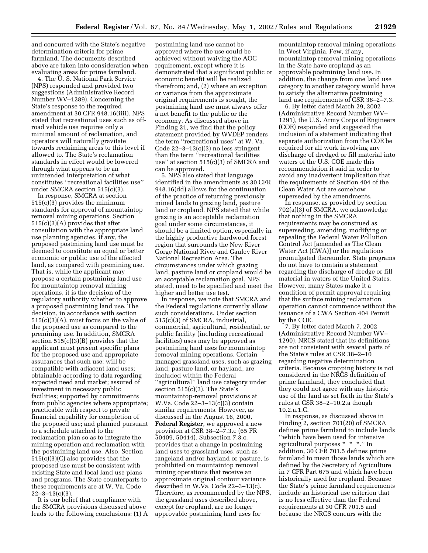and concurred with the State's negative determination criteria for prime farmland. The documents described above are taken into consideration when evaluating areas for prime farmland.

4. The U. S. National Park Service (NPS) responded and provided two suggestions (Administrative Record Number WV–1289). Concerning the State's response to the required amendment at 30 CFR 948.16(iiii), NPS stated that recreational uses such as offroad vehicle use requires only a minimal amount of reclamation, and operators will naturally gravitate towards reclaiming areas to this level if allowed to. The State's reclamation standards in effect would be lowered through what appears to be an unintended interpretation of what constitutes ''recreational facilities use'' under SMCRA section 515(c)(3).

In response, SMCRA at section 515(c)(3) provides the minimum standards for approval of mountaintop removal mining operations. Section 515(c)(3)(A) provides that after consultation with the appropriate land use planning agencies, if any, the proposed postmining land use must be deemed to constitute an equal or better economic or public use of the affected land, as compared with premining use. That is, while the applicant may propose a certain postmining land use for mountaintop removal mining operations, it is the decision of the regulatory authority whether to approve a proposed postmining land use. The decision, in accordance with section 515(c)(3)(A), must focus on the value of the proposed use as compared to the premining use. In addition, SMCRA section 515(c)(3)(B) provides that the applicant must present specific plans for the proposed use and appropriate assurances that such use: will be compatible with adjacent land uses; obtainable according to data regarding expected need and market; assured of investment in necessary public facilities; supported by commitments from public agencies where appropriate; practicable with respect to private financial capability for completion of the proposed use; and planned pursuant to a schedule attached to the reclamation plan so as to integrate the mining operation and reclamation with the postmining land use. Also, Section 515(c)(3)(C) also provides that the proposed use must be consistent with existing State and local land use plans and programs. The State counterparts to these requirements are at W. Va. Code  $22 - 3 - 13(c)(3)$ .

It is our belief that compliance with the SMCRA provisions discussed above leads to the following conclusions: (1) A

postmining land use cannot be approved where the use could be achieved without waiving the AOC requirement, except where it is demonstrated that a significant public or economic benefit will be realized therefrom; and, (2) where an exception or variance from the approximate original requirements is sought, the postmining land use must always offer a net benefit to the public or the economy. As discussed above in Finding 21, we find that the policy statement provided by WVDEP renders the term ''recreational uses'' at W. Va. Code 22–3–13(c)(3) no less stringent than the term ''recreational facilities use'' at section 515(c)(3) of SMCRA and can be approved.

5. NPS also stated that language identified in the amendments as 30 CFR 948.16(dd) allows for the continuation of the practice of returning previously mined lands to grazing land, pasture land or cropland. NPS stated that while grazing is an acceptable reclamation goal under some circumstances, it should be a limited option, especially in the highly productive hardwood forest region that surrounds the New River Gorge National River and Gauley River National Recreation Area. The circumstances under which grazing land, pasture land or cropland would be an acceptable reclamation goal, NPS stated, need to be specified and meet the higher and better use test.

In response, we note that SMCRA and the Federal regulations currently allow such considerations. Under section 515(c)(3) of SMCRA, industrial, commercial, agricultural, residential, or public facility (including recreational facilities) uses may be approved as postmining land uses for mountaintop removal mining operations. Certain managed grassland uses, such as grazing land, pasture land, or hayland, are included within the Federal ''agricultural'' land use category under section 515(c)(3). The State's mountaintop-removal provisions at W.Va. Code 22–3–13(c)(3) contain similar requirements. However, as discussed in the August 16, 2000, **Federal Register**, we approved a new provision at CSR 38–2–7.3.c (65 FR 50409, 50414). Subsection 7.3.c. provides that a change in postmining land uses to grassland uses, such as rangeland and/or hayland or pasture, is prohibited on mountaintop removal mining operations that receive an approximate original contour variance described in W.Va. Code 22–3–13(c). Therefore, as recommended by the NPS, the grassland uses described above, except for cropland, are no longer approvable postmining land uses for

mountaintop removal mining operations in West Virginia. Few, if any, mountaintop removal mining operations in the State have cropland as an approvable postmining land use. In addition, the change from one land use category to another category would have to satisfy the alternative postmining land use requirements of CSR 38–2–7.3.

6. By letter dated March 29, 2002 (Administrative Record Number WV– 1291), the U.S. Army Corps of Engineers (COE) responded and suggested the inclusion of a statement indicating that separate authorization from the COE be required for all work involving any discharge of dredged or fill material into waters of the U.S. COE made this recommendation it said in order to avoid any inadvertent implication that the requirements of Section 404 of the Clean Water Act are somehow superseded by the amendments.

In response, as provided by section 702(a)(3) of SMCRA, we acknowledge that nothing in the SMCRA requirements may be construed as superseding, amending, modifying or repealing the Federal Water Pollution Control Act [amended as The Clean Water Act (CWA)] or the regulations promulgated thereunder. State programs do not have to contain a statement regarding the discharge of dredge or fill material in waters of the United States. However, many States make it a condition of permit approval requiring that the surface mining reclamation operation cannot commence without the issuance of a CWA Section 404 Permit by the COE.

7. By letter dated March 7, 2002 (Administrative Record Number WV– 1290), NRCS stated that its definitions are not consistent with several parts of the State's rules at CSR 38–2–10 regarding negative determination criteria. Because cropping history is not considered in the NRCS definition of prime farmland, they concluded that they could not agree with any historic use of the land as set forth in the State's rules at CSR 38–2–10.2.a though  $10.2a.1$  C.

In response, as discussed above in Finding 2, section 701(20) of SMCRA defines prime farmland to include lands ''which have been used for intensive agricultural purposes \* \* \*.'' In addition, 30 CFR 701.5 defines prime farmland to mean those lands which are defined by the Secretary of Agriculture in 7 CFR Part 675 and which have been historically used for cropland. Because the State's prime farmland requirements include an historical use criterion that is no less effective than the Federal requirements at 30 CFR 701.5 and because the NRCS concurs with the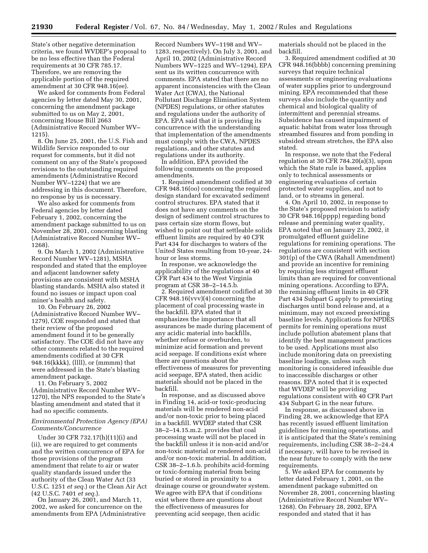State's other negative determination criteria, we found WVDEP's proposal to be no less effective than the Federal requirements at 30 CFR 785.17. Therefore, we are removing the applicable portion of the required amendment at 30 CFR 948.16(ee).

We asked for comments from Federal agencies by letter dated May 30, 2001, concerning the amendment package submitted to us on May 2, 2001, concerning House Bill 2663 (Administrative Record Number WV– 1215).

8. On June 25, 2001, the U.S. Fish and Wildlife Service responded to our request for comments, but it did not comment on any of the State's proposed revisions to the outstanding required amendments (Administrative Record Number WV–1224) that we are addressing in this document. Therefore, no response by us is necessary.

We also asked for comments from Federal agencies by letter dated February 1, 2002, concerning the amendment package submitted to us on November 28, 2001, concerning blasting (Administrative Record Number WV– 1268).

9. On March 1, 2002 (Administrative Record Number WV–1281), MSHA responded and stated that the employee and adjacent landowner safety provisions are consistent with MSHA blasting standards. MSHA also stated it found no issues or impact upon coal miner's health and safety.

10. On February 26, 2002 (Administrative Record Number WV– 1279), COE responded and stated that their review of the proposed amendment found it to be generally satisfactory. The COE did not have any other comments related to the required amendments codified at 30 CFR 948.16(kkkk), (llll), or (mmmm) that were addressed in the State's blasting amendment package.

11. On February 5, 2002 (Administrative Record Number WV– 1270), the NPS responded to the State's blasting amendment and stated that it had no specific comments.

# *Environmental Protection Agency (EPA) Comments/Concurrence*

Under 30 CFR 732.17(h)(11)(i) and (ii), we are required to get comments and the written concurrence of EPA for those provisions of the program amendment that relate to air or water quality standards issued under the authority of the Clean Water Act (33 U.S.C. 1251 *et seq.*) or the Clean Air Act (42 U.S.C. 7401 *et seq.*).

On January 26, 2001, and March 11, 2002, we asked for concurrence on the amendments from EPA (Administrative

Record Numbers WV–1198 and WV– 1283, respectively). On July 3, 2001, and April 10, 2002 (Administrative Record Numbers WV–1225 and WV–1294), EPA sent us its written concurrence with comments. EPA stated that there are no apparent inconsistencies with the Clean Water Act (CWA), the National Pollutant Discharge Elimination System (NPDES) regulations, or other statutes and regulations under the authority of EPA. EPA said that it is providing its concurrence with the understanding that implementation of the amendments must comply with the CWA, NPDES regulations, and other statutes and regulations under its authority.

In addition, EPA provided the following comments on the proposed amendments.

1. Required amendment codified at 30 CFR 948.16(oo) concerning the required design standard for excavated sediment control structures. EPA stated that it does not have any comments on the design of sediment control structures to pass certain size storm flows, but wished to point out that settleable solids effluent limits are required by 40 CFR Part 434 for discharges to waters of the United States resulting from 10-year, 24 hour or less storms.

In response, we acknowledge the applicability of the regulations at 40 CFR Part 434 to the West Virginia program at CSR 38–2–14.5.b.

2. Required amendment codified at 30 CFR 948.16(vvv)(4) concerning the placement of coal processing waste in the backfill. EPA stated that it emphasizes the importance that all assurances be made during placement of any acidic material into backfills, whether refuse or overburden, to minimize acid formation and prevent acid seepage. If conditions exist where there are questions about the effectiveness of measures for preventing acid seepage, EPA stated, then acidic materials should not be placed in the backfill.

In response, and as discussed above in Finding 14, acid-or toxic-producing materials will be rendered non-acid and/or non-toxic prior to being placed in a backfill. WVDEP stated that CSR 38–2–14.15.m.2. provides that coal processing waste will not be placed in the backfill unless it is non-acid and/or non-toxic material or rendered non-acid and/or non-toxic material. In addition, CSR 38–2–1.6.b. prohibits acid-forming or toxic-forming material from being buried or stored in proximity to a drainage course or groundwater system. We agree with EPA that if conditions exist where there are questions about the effectiveness of measures for preventing acid seepage, then acidic

materials should not be placed in the backfill.

3. Required amendment codified at 30 CFR 948.16(bbbb) concerning premining surveys that require technical assessments or engineering evaluations of water supplies prior to underground mining. EPA recommended that these surveys also include the quantity and chemical and biological quality of intermittent and perennial streams. Subsidence has caused impairment of aquatic habitat from water loss through streambed fissures and from ponding in subsided stream stretches, the EPA also stated.

In response, we note that the Federal regulation at 30 CFR 784.20(a)(3), upon which the State rule is based, applies only to technical assessments or engineering evaluations of certain protected water supplies, and not to land, or to streams in general.

4. On April 10, 2002, in response to the State's proposed revision to satisfy 30 CFR 948.16(pppp) regarding bond release and premining water quality, EPA noted that on January 23, 2002, it promulgated effluent guideline regulations for remining operations. The regulations are consistent with section 301(p) of the CWA (Rahall Amendment) and provide an incentive for remining by requiring less stringent effluent limits than are required for conventional mining operations. According to EPA, the remining effluent limits in 40 CFR Part 434 Subpart G apply to preexisting discharges until bond release and, at a minimum, may not exceed preexisting baseline levels. Applications for NPDES permits for remining operations must include pollution abatement plans that identify the best management practices to be used. Applications must also include monitoring data on preexisting baseline loadings, unless such monitoring is considered infeasible due to inaccessible discharges or other reasons. EPA noted that it is expected that WVDEP will be providing regulations consistent with 40 CFR Part 434 Subpart G in the near future.

In response, as discussed above in Finding 28, we acknowledge that EPA has recently issued effluent limitation guidelines for remining operations, and it is anticipated that the State's remining requirements, including CSR 38–2–24.4 if necessary, will have to be revised in the near future to comply with the new requirements.

5. We asked EPA for comments by letter dated February 1, 2001, on the amendment package submitted on November 28, 2001, concerning blasting (Administrative Record Number WV– 1268). On February 28, 2002, EPA responded and stated that it has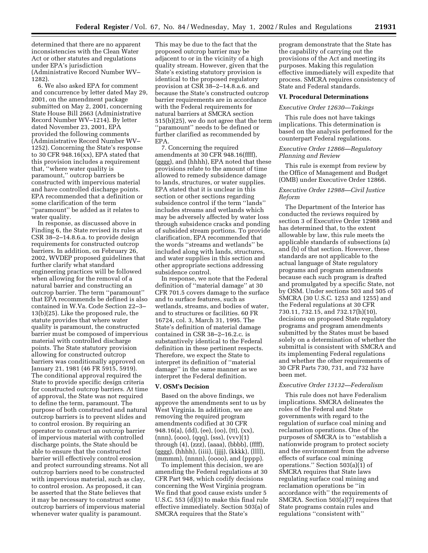determined that there are no apparent inconsistencies with the Clean Water Act or other statutes and regulations under EPA's jurisdiction (Administrative Record Number WV– 1282).

6. We also asked EPA for comment and concurrence by letter dated May 29, 2001, on the amendment package submitted on May 2, 2001, concerning State House Bill 2663 (Administrative Record Number WV–1214). By letter dated November 23, 2001, EPA provided the following comments (Administrative Record Number WV– 1252). Concerning the State's response to 30 CFR 948.16(xx), EPA stated that this provision includes a requirement that, ''where water quality is paramount,'' outcrop barriers be constructed with impervious material and have controlled discharge points. EPA recommended that a definition or some clarification of the term ''paramount'' be added as it relates to water quality.

In response, as discussed above in Finding 6, the State revised its rules at CSR 38–2–14.8.6.a. to provide design requirements for constructed outcrop barriers. In addition, on February 26, 2002, WVDEP proposed guidelines that further clarify what standard engineering practices will be followed when allowing for the removal of a natural barrier and constructing an outcrop barrier. The term ''paramount'' that EPA recommends be defined is also contained in W.Va. Code Section 22–3– 13(b)(25). Like the proposed rule, the statute provides that where water quality is paramount, the constructed barrier must be composed of impervious material with controlled discharge points. The State statutory provision allowing for constructed outcrop barriers was conditionally approved on January 21, 1981 (46 FR 5915, 5919). The conditional approval required the State to provide specific design criteria for constructed outcrop barriers. At time of approval, the State was not required to define the term, paramount. The purpose of both constructed and natural outcrop barriers is to prevent slides and to control erosion. By requiring an operator to construct an outcrop barrier of impervious material with controlled discharge points, the State should be able to ensure that the constructed barrier will effectively control erosion and protect surrounding streams. Not all outcrop barriers need to be constructed with impervious material, such as clay, to control erosion. As proposed, it can be asserted that the State believes that it may be necessary to construct some outcrop barriers of impervious material whenever water quality is paramount.

This may be due to the fact that the proposed outcrop barrier may be adjacent to or in the vicinity of a high quality stream. However, given that the State's existing statutory provision is identical to the proposed regulatory provision at CSR 38–2–14.8.a.6. and because the State's constructed outcrop barrier requirements are in accordance with the Federal requirements for natural barriers at SMCRA section 515(b)(25), we do not agree that the term ''paramount'' needs to be defined or further clarified as recommended by EPA.

7. Concerning the required amendments at 30 CFR 948.16(ffff), (gggg), and (hhhh), EPA noted that these provisions relate to the amount of time allowed to remedy subsidence damage to lands, structures, or water supplies. EPA stated that it is unclear in this section or other sections regarding subsidence control if the term ''lands'' includes streams and wetlands which may be adversely affected by water loss through subsidence cracks and ponding of subsided stream portions. To provide clarification, EPA recommended that the words ''streams and wetlands'' be included along with lands, structures, and water supplies in this section and other appropriate sections addressing subsidence control.

In response, we note that the Federal definition of ''material damage'' at 30 CFR 701.5 covers damage to the surface and to surface features, such as wetlands, streams, and bodies of water, and to structures or facilities. 60 FR 16724, col. 3, March 31, 1995. The State's definition of material damage contained in CSR 38–2–16.2.c. is substantively identical to the Federal definition in these pertinent respects. Therefore, we expect the State to interpret its definition of ''material damage'' in the same manner as we interpret the Federal definition.

#### **V. OSM's Decision**

Based on the above findings, we approve the amendments sent to us by West Virginia. In addition, we are removing the required program amendments codified at 30 CFR 948.16(a), (dd), (ee), (oo), (tt), (xx), (nnn), (ooo), (qqq), (sss), (vvv)(1) through (4), (zzz), (aaaa), (bbbb), (ffff), (gggg), (hhhh), (iiii), (jjjj), (kkkk), (llll), (mmmm), (nnnn), (oooo), and (pppp).

To implement this decision, we are amending the Federal regulations at 30 CFR Part 948, which codify decisions concerning the West Virginia program. We find that good cause exists under 5 U.S.C. 553 (d)(3) to make this final rule effective immediately. Section 503(a) of SMCRA requires that the State's

program demonstrate that the State has the capability of carrying out the provisions of the Act and meeting its purposes. Making this regulation effective immediately will expedite that process. SMCRA requires consistency of State and Federal standards.

#### **VI. Procedural Determinations**

# *Executive Order 12630—Takings*

This rule does not have takings implications. This determination is based on the analysis performed for the counterpart Federal regulations.

# *Executive Order 12866—Regulatory Planning and Review*

This rule is exempt from review by the Office of Management and Budget (OMB) under Executive Order 12866.

# *Executive Order 12988—Civil Justice Reform*

The Department of the Interior has conducted the reviews required by section 3 of Executive Order 12988 and has determined that, to the extent allowable by law, this rule meets the applicable standards of subsections (a) and (b) of that section. However, these standards are not applicable to the actual language of State regulatory programs and program amendments because each such program is drafted and promulgated by a specific State, not by OSM. Under sections 503 and 505 of SMCRA (30 U.S.C. 1253 and 1255) and the Federal regulations at 30 CFR 730.11, 732.15, and 732.17(h)(10), decisions on proposed State regulatory programs and program amendments submitted by the States must be based solely on a determination of whether the submittal is consistent with SMCRA and its implementing Federal regulations and whether the other requirements of 30 CFR Parts 730, 731, and 732 have been met.

# *Executive Order 13132—Federalism*

This rule does not have Federalism implications. SMCRA delineates the roles of the Federal and State governments with regard to the regulation of surface coal mining and reclamation operations. One of the purposes of SMCRA is to ''establish a nationwide program to protect society and the environment from the adverse effects of surface coal mining operations.'' Section 503(a)(1) of SMCRA requires that State laws regulating surface coal mining and reclamation operations be ''in accordance with'' the requirements of SMCRA. Section 503(a)(7) requires that State programs contain rules and regulations ''consistent with''